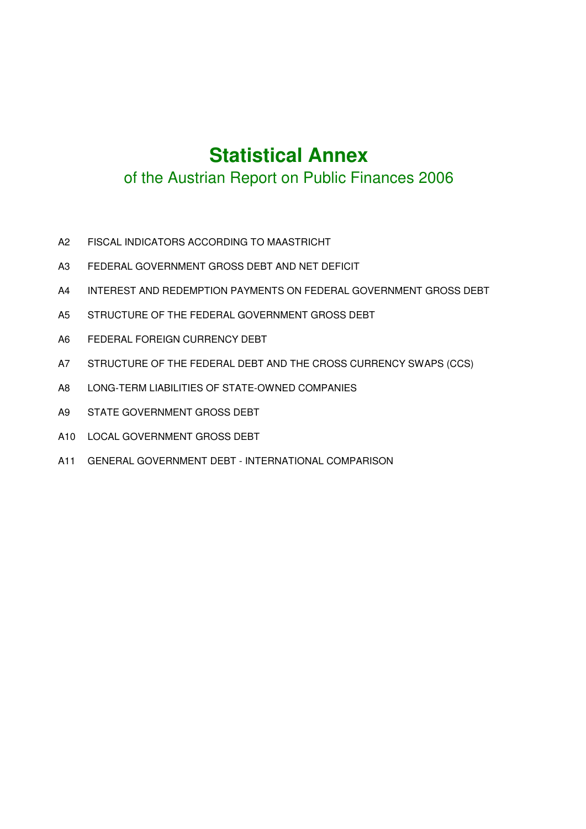# **Statistical Annex**

## of the Austrian Report on Public Finances 2006

- A2 FISCAL INDICATORS ACCORDING TO MAASTRICHT
- A3 FEDERAL GOVERNMENT GROSS DEBT AND NET DEFICIT
- A4 INTEREST AND REDEMPTION PAYMENTS ON FEDERAL GOVERNMENT GROSS DEBT
- A5 STRUCTURE OF THE FEDERAL GOVERNMENT GROSS DEBT
- A6 FEDERAL FOREIGN CURRENCY DEBT
- A7 STRUCTURE OF THE FEDERAL DEBT AND THE CROSS CURRENCY SWAPS (CCS)
- A8 LONG-TERM LIABILITIES OF STATE-OWNED COMPANIES
- A9 STATE GOVERNMENT GROSS DEBT
- A10 LOCAL GOVERNMENT GROSS DEBT
- A11 GENERAL GOVERNMENT DEBT INTERNATIONAL COMPARISON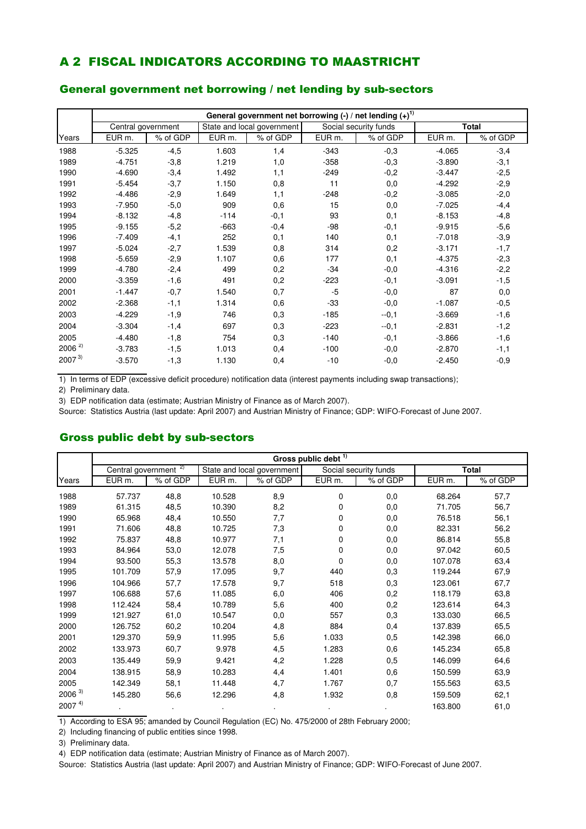### A 2 FISCAL INDICATORS ACCORDING TO MAASTRICHT

#### General government net borrowing / net lending by sub-sectors

|            |                    |          |                   |                            |                   | General government net borrowing $\left(\frac{1}{2}\right)$ net lending $\left(\frac{1}{2}\right)^{1}$ |                   |              |
|------------|--------------------|----------|-------------------|----------------------------|-------------------|--------------------------------------------------------------------------------------------------------|-------------------|--------------|
|            | Central government |          |                   | State and local government |                   | Social security funds                                                                                  |                   | <b>Total</b> |
| Years      | EUR m.             | % of GDP | EUR <sub>m.</sub> | % of GDP                   | EUR <sub>m.</sub> | % of GDP                                                                                               | EUR <sub>m.</sub> | % of GDP     |
| 1988       | $-5.325$           | $-4,5$   | 1.603             | 1,4                        | $-343$            | $-0,3$                                                                                                 | $-4.065$          | $-3,4$       |
| 1989       | $-4.751$           | $-3,8$   | 1.219             | 1,0                        | $-358$            | $-0,3$                                                                                                 | $-3.890$          | $-3,1$       |
| 1990       | $-4.690$           | $-3,4$   | 1.492             | 1,1                        | $-249$            | $-0,2$                                                                                                 | $-3.447$          | $-2,5$       |
| 1991       | $-5.454$           | $-3,7$   | 1.150             | 0,8                        | 11                | 0,0                                                                                                    | $-4.292$          | $-2,9$       |
| 1992       | $-4.486$           | $-2,9$   | 1.649             | 1,1                        | $-248$            | $-0,2$                                                                                                 | $-3.085$          | $-2,0$       |
| 1993       | $-7.950$           | $-5,0$   | 909               | 0,6                        | 15                | 0,0                                                                                                    | $-7.025$          | $-4,4$       |
| 1994       | $-8.132$           | $-4,8$   | $-114$            | $-0,1$                     | 93                | 0,1                                                                                                    | $-8.153$          | $-4,8$       |
| 1995       | $-9.155$           | $-5,2$   | $-663$            | $-0,4$                     | -98               | $-0,1$                                                                                                 | $-9.915$          | $-5,6$       |
| 1996       | $-7.409$           | $-4,1$   | 252               | 0,1                        | 140               | 0,1                                                                                                    | $-7.018$          | $-3,9$       |
| 1997       | $-5.024$           | $-2,7$   | 1.539             | 0,8                        | 314               | 0,2                                                                                                    | $-3.171$          | $-1,7$       |
| 1998       | $-5.659$           | $-2,9$   | 1.107             | 0,6                        | 177               | 0,1                                                                                                    | $-4.375$          | $-2,3$       |
| 1999       | $-4.780$           | $-2,4$   | 499               | 0,2                        | $-34$             | $-0,0$                                                                                                 | $-4.316$          | $-2,2$       |
| 2000       | $-3.359$           | $-1,6$   | 491               | 0,2                        | $-223$            | $-0,1$                                                                                                 | $-3.091$          | $-1,5$       |
| 2001       | $-1.447$           | $-0,7$   | 1.540             | 0,7                        | $-5$              | $-0,0$                                                                                                 | 87                | 0,0          |
| 2002       | $-2.368$           | $-1,1$   | 1.314             | 0,6                        | $-33$             | $-0,0$                                                                                                 | $-1.087$          | $-0,5$       |
| 2003       | $-4.229$           | $-1,9$   | 746               | 0,3                        | $-185$            | $-0,1$                                                                                                 | $-3.669$          | $-1,6$       |
| 2004       | $-3.304$           | $-1,4$   | 697               | 0,3                        | $-223$            | $-0,1$                                                                                                 | $-2.831$          | $-1,2$       |
| 2005       | $-4.480$           | $-1,8$   | 754               | 0,3                        | $-140$            | $-0,1$                                                                                                 | $-3.866$          | $-1,6$       |
| $2006^{2}$ | $-3.783$           | $-1,5$   | 1.013             | 0,4                        | $-100$            | $-0,0$                                                                                                 | $-2.870$          | $-1,1$       |
| $2007^{3}$ | $-3.570$           | $-1,3$   | 1.130             | 0,4                        | $-10$             | $-0,0$                                                                                                 | $-2.450$          | $-0,9$       |

1) In terms of EDP (excessive deficit procedure) notification data (interest payments including swap transactions);

2) Preliminary data.

3) EDP notification data (estimate; Austrian Ministry of Finance as of March 2007).

Source: Statistics Austria (last update: April 2007) and Austrian Ministry of Finance; GDP: WIFO-Forecast of June 2007.

#### Gross public debt by sub-sectors

|            |                    | Gross public debt <sup>1)</sup> |                   |                            |          |                       |                   |              |  |  |  |  |  |
|------------|--------------------|---------------------------------|-------------------|----------------------------|----------|-----------------------|-------------------|--------------|--|--|--|--|--|
|            | Central government | 2)                              |                   | State and local government |          | Social security funds |                   | <b>Total</b> |  |  |  |  |  |
| Years      | EUR m.             | % of GDP                        | EUR <sub>m.</sub> | % of GDP                   | EUR m.   | % of GDP              | EUR <sub>m.</sub> | % of GDP     |  |  |  |  |  |
| 1988       | 57.737             | 48,8                            | 10.528            | 8,9                        | $\Omega$ | 0,0                   | 68.264            | 57,7         |  |  |  |  |  |
| 1989       | 61.315             | 48,5                            | 10.390            | 8,2                        | 0        | 0,0                   | 71.705            | 56,7         |  |  |  |  |  |
| 1990       | 65.968             | 48,4                            | 10.550            | 7,7                        | 0        | 0,0                   | 76.518            | 56,1         |  |  |  |  |  |
| 1991       | 71.606             | 48,8                            | 10.725            | 7,3                        | 0        | 0,0                   | 82.331            | 56,2         |  |  |  |  |  |
| 1992       | 75.837             | 48,8                            | 10.977            | 7,1                        | 0        | 0,0                   | 86.814            | 55,8         |  |  |  |  |  |
| 1993       | 84.964             | 53,0                            | 12.078            | 7,5                        | 0        | 0,0                   | 97.042            | 60,5         |  |  |  |  |  |
| 1994       | 93.500             | 55,3                            | 13.578            | 8,0                        | 0        | 0,0                   | 107.078           | 63,4         |  |  |  |  |  |
| 1995       | 101.709            | 57,9                            | 17.095            | 9,7                        | 440      | 0,3                   | 119.244           | 67,9         |  |  |  |  |  |
| 1996       | 104.966            | 57,7                            | 17.578            | 9,7                        | 518      | 0,3                   | 123.061           | 67,7         |  |  |  |  |  |
| 1997       | 106.688            | 57,6                            | 11.085            | 6,0                        | 406      | 0,2                   | 118.179           | 63,8         |  |  |  |  |  |
| 1998       | 112.424            | 58,4                            | 10.789            | 5,6                        | 400      | 0,2                   | 123.614           | 64,3         |  |  |  |  |  |
| 1999       | 121.927            | 61,0                            | 10.547            | 0,0                        | 557      | 0,3                   | 133.030           | 66,5         |  |  |  |  |  |
| 2000       | 126.752            | 60,2                            | 10.204            | 4,8                        | 884      | 0,4                   | 137.839           | 65,5         |  |  |  |  |  |
| 2001       | 129.370            | 59,9                            | 11.995            | 5,6                        | 1.033    | 0,5                   | 142.398           | 66,0         |  |  |  |  |  |
| 2002       | 133.973            | 60,7                            | 9.978             | 4,5                        | 1.283    | 0,6                   | 145.234           | 65,8         |  |  |  |  |  |
| 2003       | 135.449            | 59,9                            | 9.421             | 4,2                        | 1.228    | 0,5                   | 146.099           | 64,6         |  |  |  |  |  |
| 2004       | 138.915            | 58,9                            | 10.283            | 4,4                        | 1.401    | 0,6                   | 150.599           | 63,9         |  |  |  |  |  |
| 2005       | 142.349            | 58,1                            | 11.448            | 4,7                        | 1.767    | 0,7                   | 155.563           | 63,5         |  |  |  |  |  |
| $2006^{3}$ | 145.280            | 56,6                            | 12.296            | 4,8                        | 1.932    | 0,8                   | 159.509           | 62,1         |  |  |  |  |  |
| $2007^{4}$ |                    |                                 |                   |                            |          |                       | 163.800           | 61,0         |  |  |  |  |  |

1) According to ESA 95; amanded by Council Regulation (EC) No. 475/2000 of 28th February 2000;

2) Including financing of public entities since 1998.

3) Preliminary data.

4) EDP notification data (estimate; Austrian Ministry of Finance as of March 2007).

Source: Statistics Austria (last update: April 2007) and Austrian Ministry of Finance; GDP: WIFO-Forecast of June 2007.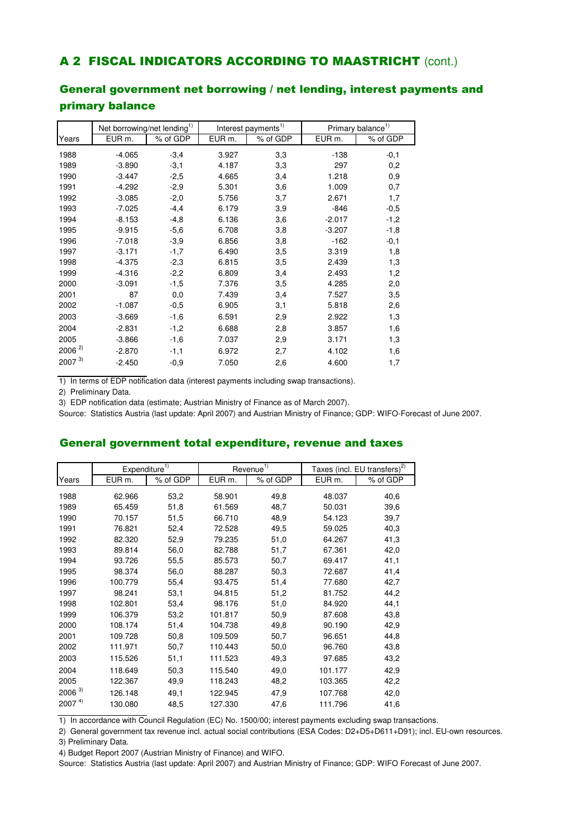### A 2 FISCAL INDICATORS ACCORDING TO MAASTRICHT (cont.)

### General government net borrowing / net lending, interest payments and primary balance

|            | Net borrowing/net lending <sup>1)</sup> |          |                    | Interest payments <sup>1)</sup> |          | Primary balance <sup>1)</sup> |
|------------|-----------------------------------------|----------|--------------------|---------------------------------|----------|-------------------------------|
| Years      | EUR m.                                  | % of GDP | EUR <sub>m</sub> . | % of GDP                        | EUR m.   | % of GDP                      |
| 1988       | $-4.065$                                | $-3,4$   | 3.927              | 3,3                             | $-138$   | $-0,1$                        |
| 1989       | $-3.890$                                | $-3,1$   | 4.187              | 3,3                             | 297      | 0,2                           |
| 1990       | $-3.447$                                | $-2,5$   | 4.665              | 3,4                             | 1.218    | 0,9                           |
| 1991       | $-4.292$                                | $-2,9$   | 5.301              | 3,6                             | 1.009    | 0,7                           |
| 1992       | $-3.085$                                | $-2,0$   | 5.756              | 3,7                             | 2.671    | 1,7                           |
| 1993       | $-7.025$                                | $-4, 4$  | 6.179              | 3,9                             | $-846$   | $-0,5$                        |
| 1994       | $-8.153$                                | $-4,8$   | 6.136              | 3,6                             | $-2.017$ | $-1,2$                        |
| 1995       | $-9.915$                                | $-5,6$   | 6.708              | 3,8                             | $-3.207$ | $-1,8$                        |
| 1996       | $-7.018$                                | $-3,9$   | 6.856              | 3,8                             | $-162$   | $-0,1$                        |
| 1997       | $-3.171$                                | $-1,7$   | 6.490              | 3,5                             | 3.319    | 1,8                           |
| 1998       | $-4.375$                                | $-2,3$   | 6.815              | 3,5                             | 2.439    | 1,3                           |
| 1999       | $-4.316$                                | $-2,2$   | 6.809              | 3,4                             | 2.493    | 1,2                           |
| 2000       | $-3.091$                                | $-1,5$   | 7.376              | 3,5                             | 4.285    | 2,0                           |
| 2001       | 87                                      | 0,0      | 7.439              | 3,4                             | 7.527    | 3,5                           |
| 2002       | $-1.087$                                | $-0,5$   | 6.905              | 3,1                             | 5.818    | 2,6                           |
| 2003       | $-3.669$                                | $-1,6$   | 6.591              | 2,9                             | 2.922    | 1,3                           |
| 2004       | $-2.831$                                | $-1,2$   | 6.688              | 2,8                             | 3.857    | 1,6                           |
| 2005       | $-3.866$                                | $-1,6$   | 7.037              | 2,9                             | 3.171    | 1,3                           |
| $2006^{2}$ | $-2.870$                                | $-1,1$   | 6.972              | 2,7                             | 4.102    | 1,6                           |
| $2007^{3}$ | $-2.450$                                | $-0,9$   | 7.050              | 2,6                             | 4.600    | 1,7                           |

1) In terms of EDP notification data (interest payments including swap transactions).

2) Preliminary Data.

3) EDP notification data (estimate; Austrian Ministry of Finance as of March 2007).

Source: Statistics Austria (last update: April 2007) and Austrian Ministry of Finance; GDP: WIFO-Forecast of June 2007.

#### General government total expenditure, revenue and taxes

|            | Expenditure <sup>1)</sup> |          |                    | Revenue $\overline{1}$ |                   | Taxes (incl. EU transfers) <sup>2)</sup> |
|------------|---------------------------|----------|--------------------|------------------------|-------------------|------------------------------------------|
| Years      | EUR <sub>m.</sub>         | % of GDP | EUR <sub>m</sub> . | % of GDP               | EUR <sub>m.</sub> | % of GDP                                 |
| 1988       | 62.966                    | 53,2     | 58.901             | 49,8                   | 48.037            | 40,6                                     |
| 1989       | 65.459                    | 51,8     | 61.569             | 48,7                   | 50.031            | 39,6                                     |
| 1990       | 70.157                    | 51,5     | 66.710             | 48,9                   | 54.123            | 39,7                                     |
| 1991       | 76.821                    | 52,4     | 72.528             | 49,5                   | 59.025            | 40,3                                     |
| 1992       | 82.320                    | 52,9     | 79.235             | 51,0                   | 64.267            | 41,3                                     |
| 1993       | 89.814                    | 56,0     | 82.788             | 51,7                   | 67.361            | 42,0                                     |
| 1994       | 93.726                    | 55,5     | 85.573             | 50,7                   | 69.417            | 41,1                                     |
| 1995       | 98.374                    | 56,0     | 88.287             | 50,3                   | 72.687            | 41,4                                     |
| 1996       | 100.779                   | 55,4     | 93.475             | 51,4                   | 77.680            | 42,7                                     |
| 1997       | 98.241                    | 53,1     | 94.815             | 51,2                   | 81.752            | 44,2                                     |
| 1998       | 102.801                   | 53,4     | 98.176             | 51,0                   | 84.920            | 44,1                                     |
| 1999       | 106.379                   | 53,2     | 101.817            | 50,9                   | 87.608            | 43,8                                     |
| 2000       | 108.174                   | 51,4     | 104.738            | 49,8                   | 90.190            | 42,9                                     |
| 2001       | 109.728                   | 50,8     | 109.509            | 50,7                   | 96.651            | 44,8                                     |
| 2002       | 111.971                   | 50,7     | 110.443            | 50,0                   | 96.760            | 43,8                                     |
| 2003       | 115.526                   | 51,1     | 111.523            | 49,3                   | 97.685            | 43,2                                     |
| 2004       | 118.649                   | 50,3     | 115.540            | 49,0                   | 101.177           | 42,9                                     |
| 2005       | 122.367                   | 49,9     | 118.243            | 48,2                   | 103.365           | 42,2                                     |
| $2006^{3}$ | 126.148                   | 49,1     | 122.945            | 47,9                   | 107.768           | 42,0                                     |
| $2007^{4}$ | 130.080                   | 48,5     | 127.330            | 47,6                   | 111.796           | 41,6                                     |

1) In accordance with Council Regulation (EC) No. 1500/00; interest payments excluding swap transactions.

2) General government tax revenue incl. actual social contributions (ESA Codes: D2+D5+D611+D91); incl. EU-own resources.

3) Preliminary Data.

4) Budget Report 2007 (Austrian Ministry of Finance) and WIFO.

Source: Statistics Austria (last update: April 2007) and Austrian Ministry of Finance; GDP: WIFO Forecast of June 2007.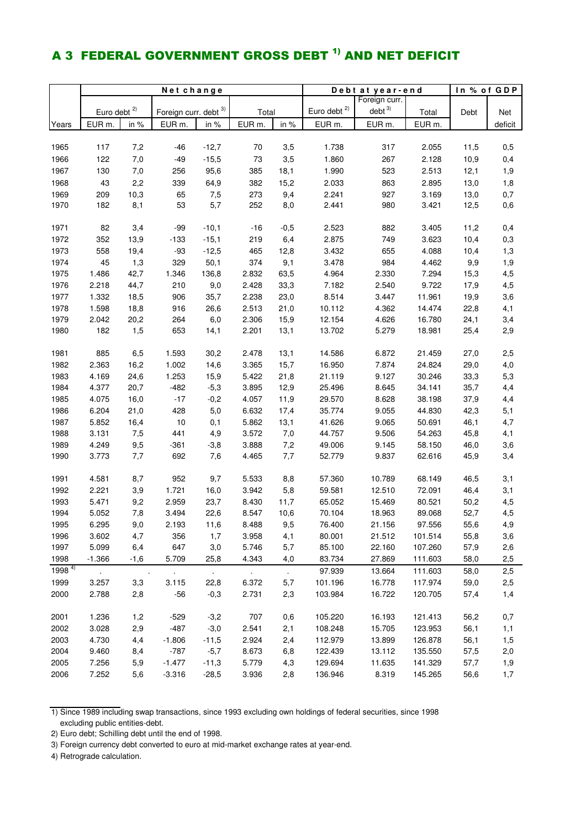### A 3 FEDERAL GOVERNMENT GROSS DEBT <sup>1)</sup> AND NET DEFICIT

|              | Net change                  |             |                       |               |                |                             | Debt at year-end | In % of GDP       |                  |              |            |
|--------------|-----------------------------|-------------|-----------------------|---------------|----------------|-----------------------------|------------------|-------------------|------------------|--------------|------------|
|              |                             |             |                       |               |                |                             |                  | Foreign curr.     |                  |              |            |
|              | Euro debt <sup>2)</sup>     |             | Foreign curr. debt 3) |               | Total          |                             | Euro debt $2)$   | debt <sup>3</sup> | Total            | Debt         | Net        |
| Years        | EUR m.                      | in %        | EUR <sub>m.</sub>     | in %          | EUR m.         | in %                        | EUR m.           | EUR <sub>m.</sub> | EUR m.           |              | deficit    |
|              |                             |             |                       |               |                |                             |                  |                   |                  |              |            |
| 1965         | 117                         | 7,2         | $-46$                 | $-12,7$       | 70             | 3,5                         | 1.738            | 317               | 2.055            | 11,5         | 0,5        |
| 1966         | 122                         | 7,0         | $-49$                 | $-15,5$       | 73             | 3,5                         | 1.860            | 267               | 2.128            | 10,9         | 0,4        |
| 1967         | 130                         | 7,0         | 256                   | 95,6          | 385            | 18,1                        | 1.990            | 523               | 2.513            | 12,1         | 1,9        |
| 1968         | 43                          | 2,2         | 339                   | 64,9          | 382            | 15,2                        | 2.033            | 863               | 2.895            | 13,0         | 1,8        |
| 1969         | 209                         | 10,3        | 65                    | 7,5           | 273            | 9,4                         | 2.241            | 927               | 3.169            | 13,0         | 0,7        |
| 1970         | 182                         | 8,1         | 53                    | 5,7           | 252            | 8,0                         | 2.441            | 980               | 3.421            | 12,5         | 0,6        |
|              |                             |             |                       |               |                |                             |                  |                   |                  |              |            |
| 1971         | 82                          | 3,4         | $-99$                 | $-10,1$       | $-16$          | $-0,5$                      | 2.523            | 882               | 3.405            | 11,2         | 0,4        |
| 1972         | 352                         | 13,9        | $-133$                | $-15,1$       | 219            | 6,4                         | 2.875            | 749               | 3.623            | 10,4         | 0,3        |
| 1973         | 558                         | 19,4        | $-93$                 | $-12,5$       | 465            | 12,8                        | 3.432            | 655               | 4.088            | 10,4         | 1,3        |
| 1974         | 45                          | 1,3         | 329                   | 50,1          | 374            | 9,1                         | 3.478            | 984               | 4.462            | 9,9          | 1,9        |
| 1975         | 1.486                       | 42,7        | 1.346                 | 136,8         | 2.832          | 63,5                        | 4.964            | 2.330             | 7.294            | 15,3         | 4,5        |
| 1976         | 2.218                       | 44,7        | 210                   | 9,0           | 2.428          | 33,3                        | 7.182            | 2.540             | 9.722            | 17,9         | 4,5        |
| 1977         | 1.332                       | 18,5        | 906                   | 35,7          | 2.238          | 23,0                        | 8.514            | 3.447             | 11.961           | 19,9         | 3,6        |
| 1978         | 1.598                       | 18,8        | 916                   | 26,6          | 2.513          | 21,0                        | 10.112           | 4.362             | 14.474           | 22,8         | 4,1        |
| 1979         | 2.042                       | 20,2        | 264                   | 6,0           | 2.306          | 15,9                        | 12.154           | 4.626             | 16.780           | 24,1         |            |
| 1980         | 182                         | 1,5         | 653                   | 14,1          | 2.201          | 13,1                        | 13.702           | 5.279             | 18.981           | 25,4         | 3,4<br>2,9 |
|              |                             |             |                       |               |                |                             |                  |                   |                  |              |            |
| 1981         | 885                         | 6,5         | 1.593                 | 30,2          | 2.478          | 13,1                        | 14.586           | 6.872             | 21.459           | 27,0         | 2,5        |
| 1982         | 2.363                       | 16,2        | 1.002                 | 14,6          | 3.365          | 15,7                        | 16.950           | 7.874             | 24.824           | 29,0         | 4,0        |
| 1983         | 4.169                       | 24,6        | 1.253                 | 15,9          | 5.422          | 21,8                        | 21.119           | 9.127             | 30.246           | 33,3         | 5,3        |
| 1984         | 4.377                       | 20,7        | $-482$                | $-5,3$        | 3.895          | 12,9                        | 25.496           | 8.645             | 34.141           | 35,7         | 4,4        |
| 1985         | 4.075                       | 16,0        | $-17$                 | $-0,2$        | 4.057          | 11,9                        | 29.570           | 8.628             | 38.198           | 37,9         | 4,4        |
| 1986         | 6.204                       | 21,0        | 428                   | 5,0           | 6.632          | 17,4                        | 35.774           | 9.055             | 44.830           | 42,3         | 5,1        |
| 1987         | 5.852                       |             | $10$                  |               | 5.862          | 13,1                        |                  |                   |                  | 46,1         | 4,7        |
| 1988         | 3.131                       | 16,4<br>7,5 | 441                   | 0,1<br>4,9    | 3.572          | 7,0                         | 41.626<br>44.757 | 9.065<br>9.506    | 50.691<br>54.263 | 45,8         | 4,1        |
|              |                             |             |                       |               |                |                             |                  |                   |                  |              |            |
| 1989<br>1990 | 4.249<br>3.773              | 9,5<br>7,7  | $-361$<br>692         | $-3,8$<br>7,6 | 3.888<br>4.465 | 7,2<br>7,7                  | 49.006<br>52.779 | 9.145<br>9.837    | 58.150<br>62.616 | 46,0<br>45,9 | 3,6<br>3,4 |
|              |                             |             |                       |               |                |                             |                  |                   |                  |              |            |
| 1991         | 4.581                       | 8,7         | 952                   | 9,7           | 5.533          | 8,8                         | 57.360           | 10.789            | 68.149           | 46,5         | 3,1        |
| 1992         | 2.221                       | 3,9         | 1.721                 | 16,0          | 3.942          | 5,8                         | 59.581           | 12.510            | 72.091           | 46,4         | 3,1        |
| 1993         | 5.471                       | 9,2         | 2.959                 | 23,7          | 8.430          | 11,7                        | 65.052           | 15.469            | 80.521           | 50,2         | 4,5        |
| 1994         | 5.052                       | 7,8         | 3.494                 | 22,6          | 8.547          | 10,6                        | 70.104           | 18.963            | 89.068           | 52,7         | 4,5        |
| 1995         | 6.295                       | 9,0         | 2.193                 | 11,6          | 8.488          | 9,5                         | 76.400           | 21.156            | 97.556           | 55,6         | 4,9        |
| 1996         | 3.602                       | 4,7         | 356                   | 1,7           | 3.958          | 4,1                         | 80.001           | 21.512            | 101.514          | 55,8         | 3,6        |
| 1997         | 5.099                       | 6,4         | 647                   | 3,0           | 5.746          | 5,7                         | 85.100           | 22.160            | 107.260          | 57,9         | 2,6        |
| 1998         | $-1.366$                    | $-1,6$      | 5.709                 | 25,8          | 4.343          | 4,0                         | 83.734           | 27.869            | 111.603          | 58,0         | 2,5        |
| $1998^{4}$   |                             |             |                       |               |                |                             | 97.939           |                   |                  |              |            |
|              | $\mathcal{L}_{\mathcal{A}}$ | $\cdot$     | $\sim$                | $\sim$        | $\sim$         | $\mathcal{L}_{\mathcal{A}}$ |                  | 13.664            | 111.603          | 58,0         | 2,5        |
| 1999         | 3.257                       | 3,3         | 3.115                 | 22,8          | 6.372          | 5,7                         | 101.196          | 16.778            | 117.974          | 59,0         | 2,5        |
| 2000         | 2.788                       | 2,8         | $-56$                 | $-0,3$        | 2.731          | 2,3                         | 103.984          | 16.722            | 120.705          | 57,4         | 1,4        |
|              | 1.236                       |             |                       |               | 707            |                             |                  |                   | 121.413          |              |            |
| 2001<br>2002 | 3.028                       | 1,2         | $-529$<br>$-487$      | $-3,2$        |                | 0,6                         | 105.220          | 16.193            |                  | 56,2         | 0,7        |
|              |                             | 2,9         |                       | $-3,0$        | 2.541          | 2,1                         | 108.248          | 15.705            | 123.953          | 56,1         | 1,1        |
| 2003         | 4.730                       | 4,4         | $-1.806$              | $-11,5$       | 2.924          | 2,4                         | 112.979          | 13.899            | 126.878          | 56,1         | 1,5        |
| 2004         | 9.460                       | 8,4         | $-787$                | $-5,7$        | 8.673          | 6,8                         | 122.439          | 13.112            | 135.550          | 57,5         | 2,0        |
| 2005         | 7.256                       | 5,9         | $-1.477$              | $-11,3$       | 5.779          | 4,3                         | 129.694          | 11.635            | 141.329          | 57,7         | 1,9        |
| 2006         | 7.252                       | 5,6         | $-3.316$              | $-28,5$       | 3.936          | 2,8                         | 136.946          | 8.319             | 145.265          | 56,6         | 1,7        |

1) Since 1989 including swap transactions, since 1993 excluding own holdings of federal securities, since 1998 excluding public entities-debt.

2) Euro debt; Schilling debt until the end of 1998.

3) Foreign currency debt converted to euro at mid-market exchange rates at year-end.

4) Retrograde calculation.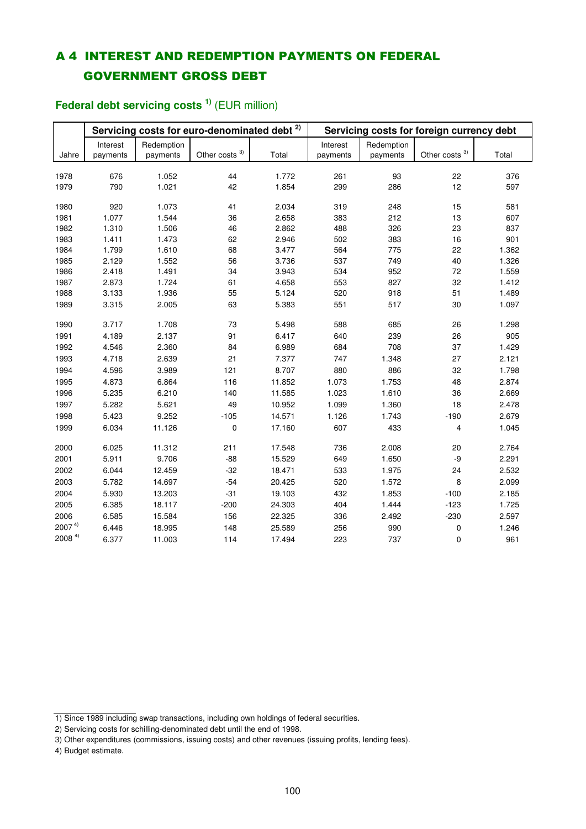### A 4 INTEREST AND REDEMPTION PAYMENTS ON FEDERAL GOVERNMENT GROSS DEBT

#### Jahre Interest payments Redemption payments Other costs 3) Total Interest payments Redemption payments Other costs<sup>3)</sup> Total 1978 676 1.052 44 1.772 261 93 22 376 1979 790 1.021 42 1.854 299 286 12 597 1980 920 1.073 41 2.034 319 248 15 581 1981 1.077 1.544 36 2.658 383 212 13 607 1982 1.310 1.506 46 2.862 488 326 23 837 1983 1.411 1.473 62 2.946 502 383 16 901 1984 1.799 1.610 68 3.477 564 775 22 1.362 1985 2.129 1.552 56 3.736 537 749 40 1.326 1986 2.418 1.491 34 3.943 534 952 72 1.559 1987 2.873 1.724 61 4.658 553 827 32 1.412 1988 3.133 1.936 55 5.124 520 918 51 1.489 1989 3.315 2.005 63 5.383 551 517 30 1.097 1990 3.717 1.708 73 5.498 588 685 26 1.298 1991 4.189 2.137 91 6.417 640 239 26 905 1992 4.546 2.360 84 6.989 684 708 37 1.429 1993 4.718 2.639 21 7.377 747 1.348 27 2.121 1994 4.596 3.989 121 8.707 880 886 32 1.798 1995 4.873 6.864 116 11.852 1.073 1.753 48 2.874 1996 5.235 6.210 140 11.585 1.023 1.610 36 2.669 1997 5.282 5.621 49 10.952 1.099 1.360 18 2.478 1998 5.423 9.252 -105 14.571 1.126 1.743 -190 2.679 1999 6.034 11.126 0 17.160 607 433 4 1.045 2000 6.025 11.312 211 17.548 736 2.008 20 2.764 2001 5.911 9.706 -88 15.529 649 1.650 -9 2.291 2002 6.044 12.459 -32 18.471 533 1.975 24 2.532 2003 5.782 14.697 -54 20.425 520 1.572 8 2.099 2004 5.930 13.203 -31 19.103 432 1.853 -100 2.185 2005 6.385 18.117 -200 24.303 404 1.444 -123 1.725 2006 6.585 15.584 156 22.325 336 2.492 -230 2.597 2007 4) 6.446 18.995 148 25.589 256 990 0 1.246 2008 4) 6.377 11.003 114 17.494 223 737 0 961 **Servicing costs for euro-denominated debt 2) Servicing costs for foreign currency debt**

### **Federal debt servicing costs 1)** (EUR million)

<sup>1)</sup> Since 1989 including swap transactions, including own holdings of federal securities.

<sup>2)</sup> Servicing costs for schilling-denominated debt until the end of 1998.

<sup>3)</sup> Other expenditures (commissions, issuing costs) and other revenues (issuing profits, lending fees).

<sup>4)</sup> Budget estimate.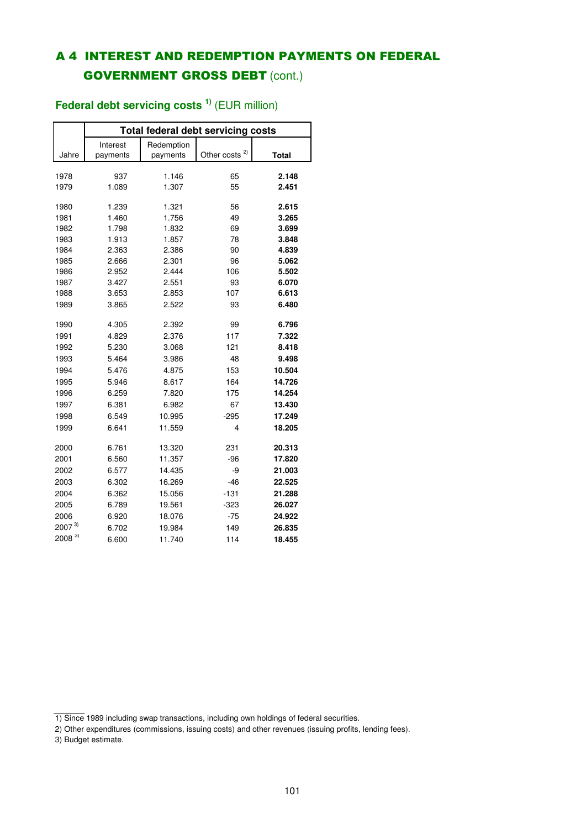### A 4 INTEREST AND REDEMPTION PAYMENTS ON FEDERAL **GOVERNMENT GROSS DEBT (cont.)**

|            |          | <b>Total federal debt servicing costs</b> |                   |              |  |  |  |  |  |  |  |  |
|------------|----------|-------------------------------------------|-------------------|--------------|--|--|--|--|--|--|--|--|
|            | Interest | Redemption                                |                   |              |  |  |  |  |  |  |  |  |
| Jahre      | payments | payments                                  | 2)<br>Other costs | <b>Total</b> |  |  |  |  |  |  |  |  |
|            |          |                                           |                   |              |  |  |  |  |  |  |  |  |
| 1978       | 937      | 1.146                                     | 65                | 2.148        |  |  |  |  |  |  |  |  |
| 1979       | 1.089    | 1.307                                     | 55                | 2.451        |  |  |  |  |  |  |  |  |
| 1980       | 1.239    | 1.321                                     | 56                | 2.615        |  |  |  |  |  |  |  |  |
| 1981       | 1.460    | 1.756                                     | 49                | 3.265        |  |  |  |  |  |  |  |  |
| 1982       | 1.798    | 1.832                                     | 69                | 3.699        |  |  |  |  |  |  |  |  |
| 1983       | 1.913    | 1.857                                     | 78                | 3.848        |  |  |  |  |  |  |  |  |
| 1984       | 2.363    | 2.386                                     | 90                | 4.839        |  |  |  |  |  |  |  |  |
| 1985       | 2.666    | 2.301                                     | 96                | 5.062        |  |  |  |  |  |  |  |  |
| 1986       | 2.952    | 2.444                                     | 106               | 5.502        |  |  |  |  |  |  |  |  |
| 1987       | 3.427    | 2.551                                     | 93                | 6.070        |  |  |  |  |  |  |  |  |
| 1988       | 3.653    | 2.853                                     | 107               | 6.613        |  |  |  |  |  |  |  |  |
| 1989       | 3.865    | 2.522                                     | 93                | 6.480        |  |  |  |  |  |  |  |  |
| 1990       | 4.305    | 2.392                                     | 99                | 6.796        |  |  |  |  |  |  |  |  |
| 1991       | 4.829    | 2.376                                     | 117               | 7.322        |  |  |  |  |  |  |  |  |
| 1992       | 5.230    | 3.068                                     | 121               | 8.418        |  |  |  |  |  |  |  |  |
| 1993       | 5.464    | 3.986                                     | 48                | 9.498        |  |  |  |  |  |  |  |  |
| 1994       | 5.476    | 4.875                                     | 153               | 10.504       |  |  |  |  |  |  |  |  |
| 1995       | 5.946    | 8.617                                     | 164               | 14.726       |  |  |  |  |  |  |  |  |
| 1996       | 6.259    | 7.820                                     | 175               | 14.254       |  |  |  |  |  |  |  |  |
| 1997       | 6.381    | 6.982                                     | 67                | 13.430       |  |  |  |  |  |  |  |  |
| 1998       | 6.549    | 10.995                                    | $-295$            | 17.249       |  |  |  |  |  |  |  |  |
| 1999       | 6.641    | 11.559                                    | 4                 | 18.205       |  |  |  |  |  |  |  |  |
|            |          |                                           |                   |              |  |  |  |  |  |  |  |  |
| 2000       | 6.761    | 13.320                                    | 231               | 20.313       |  |  |  |  |  |  |  |  |
| 2001       | 6.560    | 11.357                                    | $-96$             | 17.820       |  |  |  |  |  |  |  |  |
| 2002       | 6.577    | 14.435                                    | -9                | 21.003       |  |  |  |  |  |  |  |  |
| 2003       | 6.302    | 16.269                                    | $-46$             | 22.525       |  |  |  |  |  |  |  |  |
| 2004       | 6.362    | 15.056                                    | $-131$            | 21.288       |  |  |  |  |  |  |  |  |
| 2005       | 6.789    | 19.561                                    | $-323$            | 26.027       |  |  |  |  |  |  |  |  |
| 2006       | 6.920    | 18.076                                    | $-75$             | 24.922       |  |  |  |  |  |  |  |  |
| $2007^{3}$ | 6.702    | 19.984                                    | 149               | 26.835       |  |  |  |  |  |  |  |  |
| $2008^{3}$ | 6.600    | 11.740                                    | 114               | 18.455       |  |  |  |  |  |  |  |  |

### **Federal debt servicing costs 1)** (EUR million)

3) Budget estimate.

<sup>1)</sup> Since 1989 including swap transactions, including own holdings of federal securities.

<sup>2)</sup> Other expenditures (commissions, issuing costs) and other revenues (issuing profits, lending fees).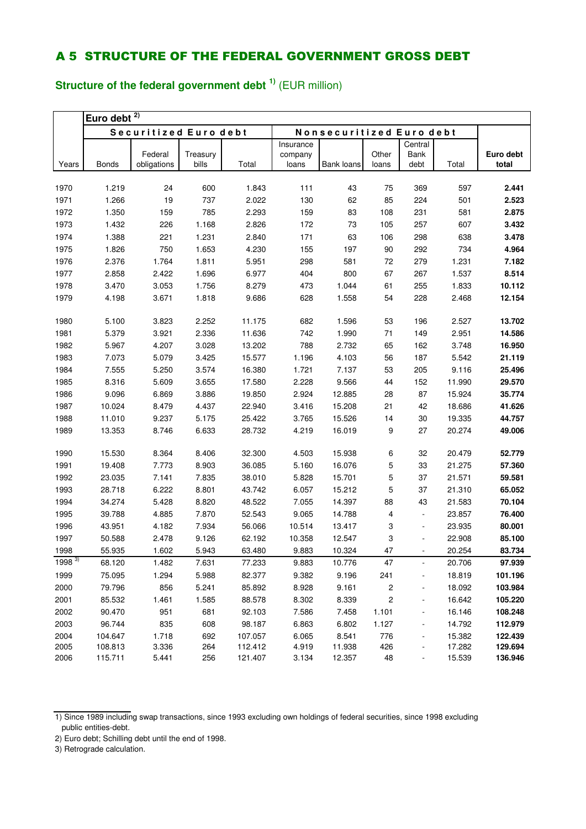### **Structure of the federal government debt 1)** (EUR million)

|            | Euro debt $^{2)}$ |                       |                   |         |           |                          |       |                |        |           |
|------------|-------------------|-----------------------|-------------------|---------|-----------|--------------------------|-------|----------------|--------|-----------|
|            |                   | Securitized Euro debt |                   |         |           | Nonsecuritized Euro debt |       |                |        |           |
|            |                   |                       |                   |         | Insurance |                          |       | Central        |        |           |
|            | <b>Bonds</b>      | Federal               | Treasury<br>bills | Total   | company   | Bank loans               | Other | Bank<br>debt   | Total  | Euro debt |
| Years      |                   | obligations           |                   |         | loans     |                          | loans |                |        | total     |
| 1970       | 1.219             | 24                    | 600               | 1.843   | 111       | 43                       | 75    | 369            | 597    | 2.441     |
| 1971       | 1.266             | 19                    | 737               | 2.022   | 130       | 62                       | 85    | 224            | 501    | 2.523     |
| 1972       | 1.350             | 159                   | 785               | 2.293   | 159       | 83                       | 108   | 231            | 581    | 2.875     |
| 1973       | 1.432             | 226                   | 1.168             | 2.826   | 172       | 73                       | 105   | 257            | 607    | 3.432     |
| 1974       | 1.388             | 221                   | 1.231             | 2.840   | 171       | 63                       | 106   | 298            | 638    | 3.478     |
| 1975       | 1.826             | 750                   | 1.653             | 4.230   | 155       | 197                      | 90    | 292            | 734    | 4.964     |
| 1976       | 2.376             | 1.764                 | 1.811             | 5.951   | 298       | 581                      | 72    | 279            | 1.231  | 7.182     |
| 1977       | 2.858             | 2.422                 | 1.696             | 6.977   | 404       | 800                      | 67    | 267            | 1.537  | 8.514     |
| 1978       | 3.470             | 3.053                 | 1.756             | 8.279   | 473       | 1.044                    | 61    | 255            | 1.833  | 10.112    |
| 1979       | 4.198             | 3.671                 | 1.818             | 9.686   | 628       | 1.558                    | 54    | 228            | 2.468  | 12.154    |
|            |                   |                       |                   |         |           |                          |       |                |        |           |
| 1980       | 5.100             | 3.823                 | 2.252             | 11.175  | 682       | 1.596                    | 53    | 196            | 2.527  | 13.702    |
| 1981       | 5.379             | 3.921                 | 2.336             | 11.636  | 742       | 1.990                    | 71    | 149            | 2.951  | 14.586    |
| 1982       | 5.967             | 4.207                 | 3.028             | 13.202  | 788       | 2.732                    | 65    | 162            | 3.748  | 16.950    |
| 1983       | 7.073             | 5.079                 | 3.425             | 15.577  | 1.196     | 4.103                    | 56    | 187            | 5.542  | 21.119    |
| 1984       | 7.555             | 5.250                 | 3.574             | 16.380  | 1.721     | 7.137                    | 53    | 205            | 9.116  | 25.496    |
| 1985       | 8.316             | 5.609                 | 3.655             | 17.580  | 2.228     | 9.566                    | 44    | 152            | 11.990 | 29.570    |
| 1986       | 9.096             | 6.869                 | 3.886             | 19.850  | 2.924     | 12.885                   | 28    | 87             | 15.924 | 35.774    |
| 1987       | 10.024            | 8.479                 | 4.437             | 22.940  | 3.416     | 15.208                   | 21    | 42             | 18.686 | 41.626    |
| 1988       | 11.010            | 9.237                 | 5.175             | 25.422  | 3.765     | 15.526                   | 14    | 30             | 19.335 | 44.757    |
| 1989       | 13.353            | 8.746                 | 6.633             | 28.732  | 4.219     | 16.019                   | 9     | 27             | 20.274 | 49.006    |
|            |                   |                       |                   |         |           |                          |       |                |        |           |
| 1990       | 15.530            | 8.364                 | 8.406             | 32.300  | 4.503     | 15.938                   | 6     | 32             | 20.479 | 52.779    |
| 1991       | 19.408            | 7.773                 | 8.903             | 36.085  | 5.160     | 16.076                   | 5     | 33             | 21.275 | 57.360    |
| 1992       | 23.035            | 7.141                 | 7.835             | 38.010  | 5.828     | 15.701                   | 5     | 37             | 21.571 | 59.581    |
| 1993       | 28.718            | 6.222                 | 8.801             | 43.742  | 6.057     | 15.212                   | 5     | 37             | 21.310 | 65.052    |
| 1994       | 34.274            | 5.428                 | 8.820             | 48.522  | 7.055     | 14.397                   | 88    | 43             | 21.583 | 70.104    |
| 1995       | 39.788            | 4.885                 | 7.870             | 52.543  | 9.065     | 14.788                   | 4     | $\frac{1}{2}$  | 23.857 | 76.400    |
| 1996       | 43.951            | 4.182                 | 7.934             | 56.066  | 10.514    | 13.417                   | 3     | ÷,             | 23.935 | 80.001    |
| 1997       | 50.588            | 2.478                 | 9.126             | 62.192  | 10.358    | 12.547                   | 3     | $\blacksquare$ | 22.908 | 85.100    |
| 1998       | 55.935            | 1.602                 | 5.943             | 63.480  | 9.883     | 10.324                   | 47    | ٠              | 20.254 | 83.734    |
| $1998^{3}$ | 68.120            | 1.482                 | 7.631             | 77.233  | 9.883     | 10.776                   | 47    | -              | 20.706 | 97.939    |
| 1999       | 75.095            | 1.294                 | 5.988             | 82.377  | 9.382     | 9.196                    | 241   | ٠              | 18.819 | 101.196   |
| 2000       | 79.796            | 856                   | 5.241             | 85.892  | 8.928     | 9.161                    | 2     | -              | 18.092 | 103.984   |
| 2001       | 85.532            | 1.461                 | 1.585             | 88.578  | 8.302     | 8.339                    | 2     | -              | 16.642 | 105.220   |
| 2002       | 90.470            | 951                   | 681               | 92.103  | 7.586     | 7.458                    | 1.101 | ۰              | 16.146 | 108.248   |
| 2003       | 96.744            | 835                   | 608               | 98.187  | 6.863     | 6.802                    | 1.127 | ۰              | 14.792 | 112.979   |
| 2004       | 104.647           | 1.718                 | 692               | 107.057 | 6.065     | 8.541                    | 776   | ۰              | 15.382 | 122.439   |
| 2005       | 108.813           | 3.336                 | 264               | 112.412 | 4.919     | 11.938                   | 426   |                | 17.282 | 129.694   |
| 2006       | 115.711           | 5.441                 | 256               | 121.407 | 3.134     | 12.357                   | 48    | -              | 15.539 | 136.946   |

<sup>1)</sup> Since 1989 including swap transactions, since 1993 excluding own holdings of federal securities, since 1998 excluding public entities-debt.

<sup>2)</sup> Euro debt; Schilling debt until the end of 1998.

<sup>3)</sup> Retrograde calculation.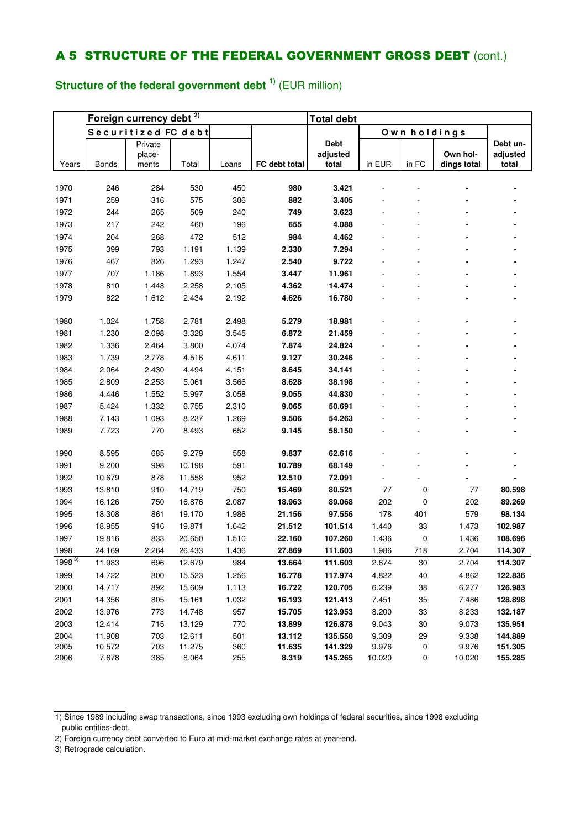### **Structure of the federal government debt 1)** (EUR million)

|            |              | Foreign currency debt <sup>2)</sup> |        |       |               | <b>Total debt</b> |        |              |             |          |
|------------|--------------|-------------------------------------|--------|-------|---------------|-------------------|--------|--------------|-------------|----------|
|            |              | Securitized FC debt                 |        |       |               |                   |        | Own holdings |             |          |
|            |              | Private                             |        |       |               | <b>Debt</b>       |        |              |             | Debt un- |
|            |              | place-                              |        |       |               | adjusted          |        | in FC        | Own hol-    | adjusted |
| Years      | <b>Bonds</b> | ments                               | Total  | Loans | FC debt total | total             | in EUR |              | dings total | total    |
| 1970       | 246          | 284                                 | 530    | 450   | 980           | 3.421             |        |              |             |          |
| 1971       | 259          | 316                                 | 575    | 306   | 882           | 3.405             |        |              |             |          |
| 1972       | 244          | 265                                 | 509    | 240   | 749           | 3.623             |        |              |             |          |
| 1973       | 217          | 242                                 | 460    | 196   | 655           | 4.088             |        |              |             |          |
| 1974       | 204          | 268                                 | 472    | 512   | 984           | 4.462             |        |              |             |          |
| 1975       | 399          | 793                                 | 1.191  | 1.139 | 2.330         | 7.294             |        |              |             |          |
| 1976       | 467          | 826                                 | 1.293  | 1.247 | 2.540         | 9.722             |        |              |             |          |
| 1977       | 707          | 1.186                               | 1.893  | 1.554 | 3.447         | 11.961            |        |              |             |          |
| 1978       | 810          | 1.448                               | 2.258  | 2.105 | 4.362         | 14.474            |        |              |             |          |
| 1979       | 822          | 1.612                               | 2.434  | 2.192 | 4.626         | 16.780            |        |              |             |          |
|            |              |                                     |        |       |               |                   |        |              |             |          |
| 1980       | 1.024        | 1.758                               | 2.781  | 2.498 | 5.279         | 18.981            |        |              |             |          |
| 1981       | 1.230        | 2.098                               | 3.328  | 3.545 | 6.872         | 21.459            |        |              |             |          |
| 1982       | 1.336        | 2.464                               | 3.800  | 4.074 | 7.874         | 24.824            |        |              |             |          |
| 1983       | 1.739        | 2.778                               | 4.516  | 4.611 | 9.127         | 30.246            |        |              |             |          |
| 1984       | 2.064        | 2.430                               | 4.494  | 4.151 | 8.645         | 34.141            |        |              |             |          |
| 1985       | 2.809        | 2.253                               | 5.061  | 3.566 | 8.628         | 38.198            |        |              |             |          |
| 1986       | 4.446        | 1.552                               | 5.997  | 3.058 | 9.055         | 44.830            |        |              |             |          |
| 1987       | 5.424        | 1.332                               | 6.755  | 2.310 | 9.065         | 50.691            |        |              |             |          |
| 1988       | 7.143        | 1.093                               | 8.237  | 1.269 | 9.506         | 54.263            |        |              |             |          |
| 1989       | 7.723        | 770                                 | 8.493  | 652   | 9.145         | 58.150            |        |              |             |          |
|            |              |                                     |        |       |               |                   |        |              |             |          |
| 1990       | 8.595        | 685                                 | 9.279  | 558   | 9.837         | 62.616            |        |              |             |          |
| 1991       | 9.200        | 998                                 | 10.198 | 591   | 10.789        | 68.149            |        |              |             |          |
| 1992       | 10.679       | 878                                 | 11.558 | 952   | 12.510        | 72.091            |        |              |             |          |
| 1993       | 13.810       | 910                                 | 14.719 | 750   | 15.469        | 80.521            | 77     | 0            | 77          | 80.598   |
| 1994       | 16.126       | 750                                 | 16.876 | 2.087 | 18.963        | 89.068            | 202    | 0            | 202         | 89.269   |
| 1995       | 18.308       | 861                                 | 19.170 | 1.986 | 21.156        | 97.556            | 178    | 401          | 579         | 98.134   |
| 1996       | 18.955       | 916                                 | 19.871 | 1.642 | 21.512        | 101.514           | 1.440  | 33           | 1.473       | 102.987  |
| 1997       | 19.816       | 833                                 | 20.650 | 1.510 | 22.160        | 107.260           | 1.436  | 0            | 1.436       | 108.696  |
| 1998       | 24.169       | 2.264                               | 26.433 | 1.436 | 27.869        | 111.603           | 1.986  | 718          | 2.704       | 114.307  |
| $1998^{3}$ | 11.983       | 696                                 | 12.679 | 984   | 13.664        | 111.603           | 2.674  | 30           | 2.704       | 114.307  |
| 1999       | 14.722       | 800                                 | 15.523 | 1.256 | 16.778        | 117.974           | 4.822  | 40           | 4.862       | 122.836  |
| 2000       | 14.717       | 892                                 | 15.609 | 1.113 | 16.722        | 120.705           | 6.239  | 38           | 6.277       | 126.983  |
| 2001       | 14.356       | 805                                 | 15.161 | 1.032 | 16.193        | 121.413           | 7.451  | 35           | 7.486       | 128.898  |
| 2002       | 13.976       | 773                                 | 14.748 | 957   | 15.705        | 123.953           | 8.200  | 33           | 8.233       | 132.187  |
| 2003       | 12.414       | 715                                 | 13.129 | 770   | 13.899        | 126.878           | 9.043  | 30           | 9.073       | 135.951  |
| 2004       | 11.908       | 703                                 | 12.611 | 501   | 13.112        | 135.550           | 9.309  | 29           | 9.338       | 144.889  |
| 2005       | 10.572       | 703                                 | 11.275 | 360   | 11.635        | 141.329           | 9.976  | 0            | 9.976       | 151.305  |
| 2006       | 7.678        | 385                                 | 8.064  | 255   | 8.319         | 145.265           | 10.020 | 0            | 10.020      | 155.285  |

3) Retrograde calculation.

<sup>1)</sup> Since 1989 including swap transactions, since 1993 excluding own holdings of federal securities, since 1998 excluding public entities-debt.

<sup>2)</sup> Foreign currency debt converted to Euro at mid-market exchange rates at year-end.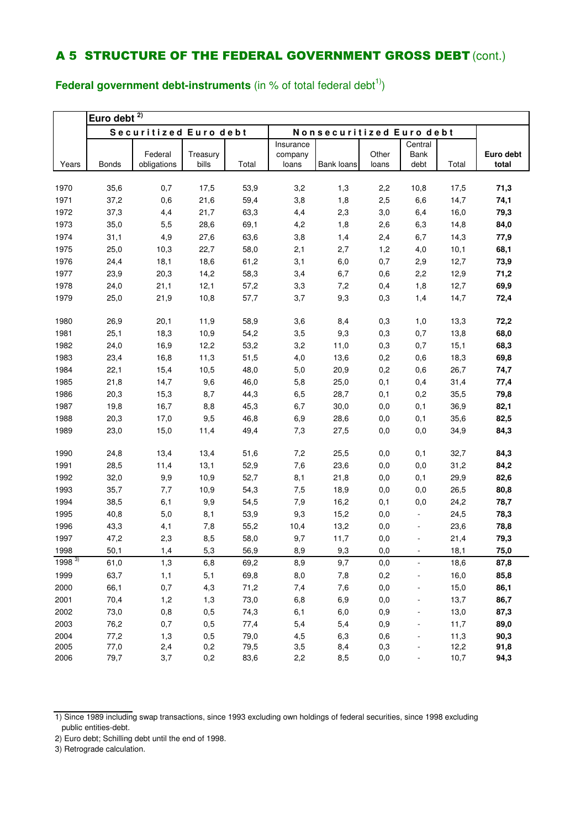**Euro debt 2)** Years Bonds Federal obligations **Treasury** bills Total **Insurance** company loans **Bank loans Other** loans **Central** Bank debt Total **Euro debt total** 35,6 0,7 17,5 53,9 3,2 1,3 2,2 10,8 17,5 **71,3** 37,2 0,6 21,6 59,4 3,8 1,8 2,5 6,6 14,7 **74,1** 37,3 4,4 21,7 63,3 4,4 2,3 3,0 6,4 16,0 **79,3** 35,0 5,5 28,6 69,1 4,2 1,8 2,6 6,3 14,8 **84,0** 31,1 4,9 27,6 63,6 3,8 1,4 2,4 6,7 14,3 **77,9** 25,0 10,3 22,7 58,0 2,1 2,7 1,2 4,0 10,1 **68,1** 24,4 18,1 18,6 61,2 3,1 6,0 0,7 2,9 12,7 **73,9** 23,9 20,3 14,2 58,3 3,4 6,7 0,6 2,2 12,9 **71,2** 24,0 21,1 12,1 57,2 3,3 7,2 0,4 1,8 12,7 **69,9** 25,0 21,9 10,8 57,7 3,7 9,3 0,3 1,4 14,7 **72,4** 26,9 20,1 11,9 58,9 3,6 8,4 0,3 1,0 13,3 **72,2** 25,1 18,3 10,9 54,2 3,5 9,3 0,3 0,7 13,8 **68,0** 24,0 16,9 12,2 53,2 3,2 11,0 0,3 0,7 15,1 **68,3** 23,4 16,8 11,3 51,5 4,0 13,6 0,2 0,6 18,3 **69,8** 22,1 15,4 10,5 48,0 5,0 20,9 0,2 0,6 26,7 **74,7** 21,8 14,7 9,6 46,0 5,8 25,0 0,1 0,4 31,4 **77,4** 20,3 15,3 8,7 44,3 6,5 28,7 0,1 0,2 35,5 **79,8** 19,8 16,7 8,8 45,3 6,7 30,0 0,0 0,1 36,9 **82,1** 20,3 17,0 9,5 46,8 6,9 28,6 0,0 0,1 35,6 **82,5** 23,0 15,0 11,4 49,4 7,3 27,5 0,0 0,0 34,9 **84,3** 24,8 13,4 13,4 51,6 7,2 25,5 0,0 0,1 32,7 **84,3** 28,5 11,4 13,1 52,9 7,6 23,6 0,0 0,0 31,2 **84,2** 32,0 9,9 10,9 52,7 8,1 21,8 0,0 0,1 29,9 **82,6** 35,7 7,7 10,9 54,3 7,5 18,9 0,0 0,0 26,5 **80,8** 38,5 6,1 9,9 54,5 7,9 16,2 0,1 0,0 24,2 **78,7** 40,8 5,0 8,1 53,9 9,3 15,2 0,0 - 24,5 **78,3** 43,3 4,1 7,8 55,2 10,4 13,2 0,0 - 23,6 **78,8** 47,2 2,3 8,5 58,0 9,7 11,7 0,0 - 21,4 **79,3** 50,1 1,4 5,3 56,9 8,9 9,3 0,0 - 18,1 **75,0** 3) 61,0 1,3 6,8 69,2 8,9 9,7 0,0 - 18,6 **87,8** 63,7 1,1 5,1 69,8 8,0 7,8 0,2 - 16,0 **85,8** 66,1 0,7 4,3 71,2 7,4 7,6 0,0 - 15,0 **86,1** 70,4 1,2 1,3 73,0 6,8 6,9 0,0 - 13,7 **86,7** 73,0 0,8 0,5 74,3 6,1 6,0 0,9 - 13,0 **87,3** 76,2 0,7 0,5 77,4 5,4 5,4 0,9 - 11,7 **89,0** 77,2 1,3 0,5 79,0 4,5 6,3 0,6 - 11,3 **90,3** 77,0 2,4 0,2 79,5 3,5 8,4 0,3 - 12,2 **91,8** 79,7 3,7 0,2 83,6 2,2 8,5 0,0 - 10,7 **94,3** Securitized Euro debt | Nonsecuritized Euro debt

**Federal government debt-instruments** (in % of total federal debt<sup>1)</sup>)

<sup>1)</sup> Since 1989 including swap transactions, since 1993 excluding own holdings of federal securities, since 1998 excluding public entities-debt.

<sup>2)</sup> Euro debt; Schilling debt until the end of 1998.

<sup>3)</sup> Retrograde calculation.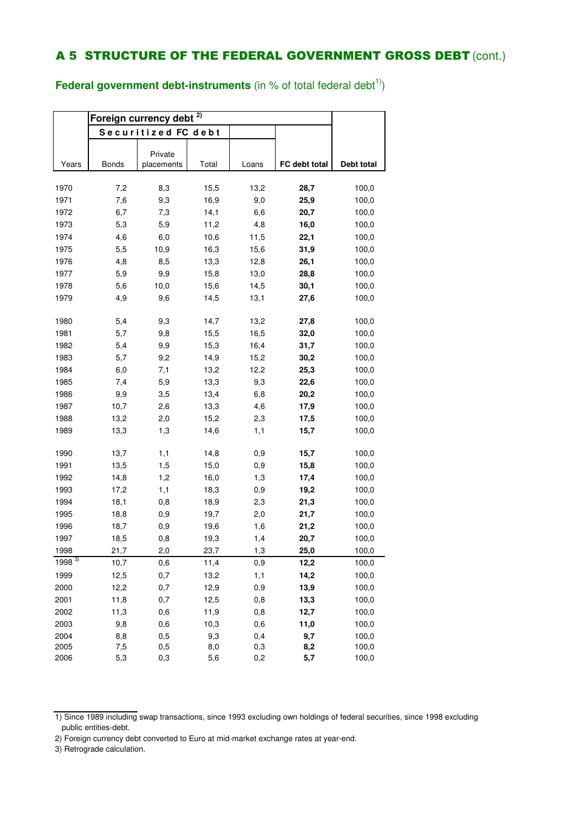**Federal government debt-instruments** (in % of total federal debt<sup>1)</sup>)

|              | Foreign currency debt <sup>2)</sup> |                       |            |            |               |                |
|--------------|-------------------------------------|-----------------------|------------|------------|---------------|----------------|
|              |                                     | Securitized FC debt   |            |            |               |                |
|              |                                     |                       |            |            |               |                |
| Years        | <b>Bonds</b>                        | Private<br>placements | Total      | Loans      | FC debt total | Debt total     |
|              |                                     |                       |            |            |               |                |
| 1970         | 7,2                                 | 8,3                   | 15,5       | 13,2       | 28,7          | 100,0          |
| 1971         | 7,6                                 | 9,3                   | 16,9       | 9,0        | 25,9          | 100,0          |
| 1972         | 6,7                                 | 7,3                   | 14,1       | 6,6        | 20,7          | 100,0          |
| 1973         | 5,3                                 | 5,9                   | 11,2       | 4,8        | 16,0          | 100,0          |
| 1974         | 4,6                                 | 6,0                   | 10,6       | 11,5       | 22,1          | 100,0          |
| 1975         | 5,5                                 | 10,9                  | 16,3       | 15,6       | 31,9          | 100,0          |
| 1976         | 4,8                                 | 8,5                   | 13,3       | 12,8       | 26,1          | 100,0          |
| 1977         | 5,9                                 | 9,9                   | 15,8       | 13,0       | 28,8          | 100,0          |
| 1978         | 5,6                                 | 10,0                  | 15,6       | 14,5       | 30,1          | 100,0          |
| 1979         | 4,9                                 | 9,6                   | 14,5       | 13,1       | 27,6          | 100,0          |
|              |                                     |                       |            |            |               |                |
| 1980         | 5,4                                 | 9,3                   | 14,7       | 13,2       | 27,8          | 100,0          |
| 1981         | 5,7                                 | 9,8                   | 15,5       | 16,5       | 32,0          | 100,0          |
| 1982         | 5,4                                 | 9,9                   | 15,3       | 16,4       | 31,7          | 100,0          |
| 1983         | 5,7                                 | 9,2                   | 14,9       | 15,2       | 30,2          | 100,0          |
| 1984         | 6,0                                 | 7,1                   | 13,2       | 12,2       | 25,3          | 100,0          |
| 1985         | 7,4                                 | 5,9                   | 13,3       | 9,3        | 22,6          | 100,0          |
| 1986         | 9,9                                 | 3,5                   | 13,4       | 6,8        | 20,2          | 100,0          |
| 1987         | 10,7                                | 2,6                   | 13,3       | 4,6        | 17,9          | 100,0          |
| 1988         | 13,2                                | 2,0                   | 15,2       | 2,3        | 17,5          | 100,0          |
| 1989         | 13,3                                | 1,3                   | 14,6       | 1,1        | 15,7          | 100,0          |
|              |                                     |                       |            |            |               |                |
| 1990         | 13,7                                | 1,1                   | 14,8       | 0,9        | 15,7          | 100,0          |
| 1991         | 13,5                                | 1,5                   | 15,0       | 0,9        | 15,8          | 100,0          |
| 1992         | 14,8                                | 1,2                   | 16,0       | 1,3        | 17,4          | 100,0          |
| 1993         | 17,2                                | 1,1                   | 18,3       | 0,9        | 19,2          | 100,0          |
| 1994         | 18,1                                | 0,8                   | 18,9       | 2,3        | 21,3          | 100,0          |
| 1995         | 18,8                                | 0,9                   | 19,7       | 2,0        | 21,7          | 100,0          |
| 1996         | 18,7                                | 0,9                   | 19,6       | 1,6        | 21,2          | 100,0          |
| 1997         | 18,5                                | 0,8                   | 19,3       | 1,4        | 20,7          | 100,0          |
| 1998         | 21,7                                | 2,0                   | 23,7       | 1,3        | 25,0          | 100,0          |
| $1998^{3}$   | 10,7                                | 0,6                   | 11,4       | 0,9        | 12,2          | 100,0          |
| 1999         | 12,5                                | 0,7                   | 13,2       | 1,1        | 14,2          | 100,0          |
| 2000         | 12,2                                | 0,7                   | 12,9       | 0,9        | 13,9          | 100,0          |
| 2001         | 11,8                                | 0,7                   | 12,5       | 0,8        | 13,3          | 100,0          |
| 2002         | 11,3                                | 0,6                   | 11,9       | 0,8        | 12,7          | 100,0          |
| 2003         | 9,8                                 | 0,6                   | 10,3       | 0,6        | 11,0          | 100,0          |
| 2004         | 8,8                                 | 0,5                   | 9,3        | 0,4        | 9,7           | 100,0          |
| 2005<br>2006 | 7,5<br>5,3                          | 0,5<br>0,3            | 8,0<br>5,6 | 0,3<br>0,2 | 8,2<br>5,7    | 100,0<br>100,0 |
|              |                                     |                       |            |            |               |                |

<sup>1)</sup> Since 1989 including swap transactions, since 1993 excluding own holdings of federal securities, since 1998 excluding public entities-debt.

<sup>2)</sup> Foreign currency debt converted to Euro at mid-market exchange rates at year-end.

<sup>3)</sup> Retrograde calculation.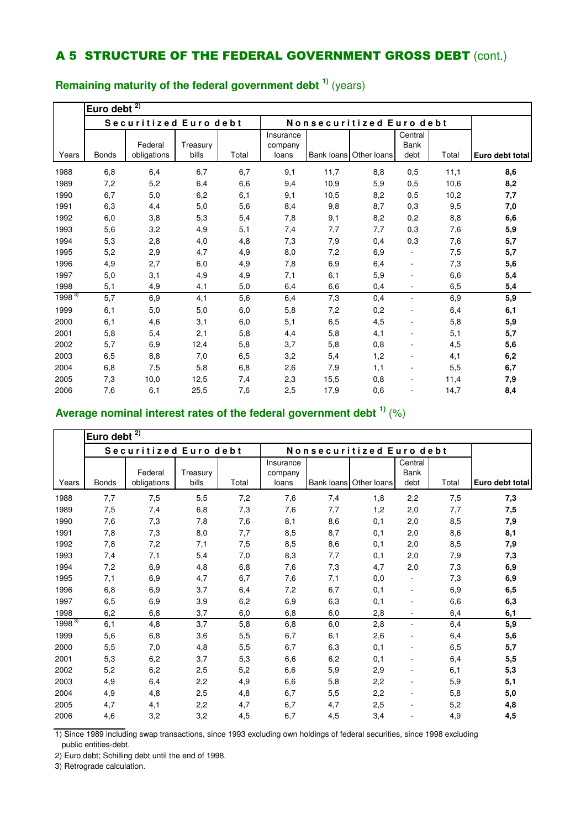|             | Euro debt    | 2)                     |                   |       |                               |            |                          |                          |       |                 |
|-------------|--------------|------------------------|-------------------|-------|-------------------------------|------------|--------------------------|--------------------------|-------|-----------------|
|             |              | Securitized Euro debt  |                   |       |                               |            | Nonsecuritized Euro debt |                          |       |                 |
| Years       | <b>Bonds</b> | Federal<br>obligations | Treasury<br>bills | Total | Insurance<br>company<br>loans | Bank loans | Other loans              | Central<br>Bank<br>debt  | Total | Euro debt total |
| 1988        | 6,8          | 6,4                    | 6,7               | 6,7   | 9,1                           | 11,7       | 8,8                      | 0,5                      | 11,1  | 8,6             |
| 1989        | 7,2          | 5,2                    | 6,4               | 6,6   | 9,4                           | 10,9       | 5,9                      | 0,5                      | 10,6  | 8,2             |
| 1990        | 6,7          | 5,0                    | 6,2               | 6,1   | 9,1                           | 10,5       | 8,2                      | 0,5                      | 10,2  | 7,7             |
| 1991        | 6,3          | 4,4                    | 5,0               | 5,6   | 8,4                           | 9,8        | 8,7                      | 0,3                      | 9,5   | 7,0             |
| 1992        | 6,0          | 3,8                    | 5,3               | 5,4   | 7,8                           | 9,1        | 8,2                      | 0,2                      | 8,8   | 6,6             |
| 1993        | 5,6          | 3,2                    | 4,9               | 5,1   | 7,4                           | 7,7        | 7,7                      | 0,3                      | 7,6   | 5,9             |
| 1994        | 5,3          | 2,8                    | 4,0               | 4,8   | 7,3                           | 7,9        | 0,4                      | 0,3                      | 7,6   | 5,7             |
| 1995        | 5,2          | 2,9                    | 4,7               | 4,9   | 8,0                           | 7,2        | 6,9                      |                          | 7,5   | 5,7             |
| 1996        | 4,9          | 2,7                    | 6,0               | 4,9   | 7,8                           | 6,9        | 6,4                      | $\overline{a}$           | 7,3   | 5,6             |
| 1997        | 5,0          | 3,1                    | 4,9               | 4,9   | 7,1                           | 6,1        | 5,9                      |                          | 6,6   | 5,4             |
| 1998        | 5,1          | 4,9                    | 4,1               | 5,0   | 6,4                           | 6,6        | 0,4                      | $\overline{\phantom{a}}$ | 6,5   | 5,4             |
| $1998^{37}$ | 5,7          | 6,9                    | 4,1               | 5,6   | 6,4                           | 7,3        | 0,4                      | $\overline{\phantom{a}}$ | 6,9   | 5,9             |
| 1999        | 6,1          | 5,0                    | 5,0               | 6,0   | 5,8                           | 7,2        | 0,2                      |                          | 6,4   | 6,1             |
| 2000        | 6,1          | 4,6                    | 3,1               | 6,0   | 5,1                           | 6,5        | 4,5                      | ٠                        | 5,8   | 5,9             |
| 2001        | 5,8          | 5,4                    | 2,1               | 5,8   | 4,4                           | 5,8        | 4,1                      | ä,                       | 5,1   | 5,7             |
| 2002        | 5,7          | 6,9                    | 12,4              | 5,8   | 3,7                           | 5,8        | 0,8                      |                          | 4,5   | 5,6             |
| 2003        | 6,5          | 8,8                    | 7,0               | 6,5   | 3,2                           | 5,4        | 1,2                      |                          | 4,1   | 6,2             |
| 2004        | 6,8          | 7,5                    | 5,8               | 6,8   | 2,6                           | 7,9        | 1,1                      | $\overline{\phantom{a}}$ | 5,5   | 6,7             |
| 2005        | 7,3          | 10,0                   | 12,5              | 7,4   | 2,3                           | 15,5       | 0,8                      |                          | 11,4  | 7,9             |
| 2006        | 7,6          | 6,1                    | 25,5              | 7,6   | 2,5                           | 17,9       | 0,6                      |                          | 14,7  | 8,4             |

### **Remaining maturity of the federal government debt 1)** (years)

### **Average nominal interest rates of the federal government debt 1)** (%)

|            | Euro debt $^{2)}$ |                        |                   |       |                               |            |                          |                                |       |                 |
|------------|-------------------|------------------------|-------------------|-------|-------------------------------|------------|--------------------------|--------------------------------|-------|-----------------|
|            |                   | Securitized Euro debt  |                   |       |                               |            | Nonsecuritized Euro debt |                                |       |                 |
| Years      | <b>Bonds</b>      | Federal<br>obligations | Treasury<br>bills | Total | Insurance<br>company<br>loans | Bank loans | Other loans              | Central<br><b>Bank</b><br>debt | Total | Euro debt total |
| 1988       | 7,7               | 7,5                    | 5,5               | 7,2   | 7,6                           | 7,4        | 1,8                      | 2,2                            | 7,5   | 7,3             |
| 1989       | 7,5               | 7,4                    | 6,8               | 7,3   | 7,6                           | 7,7        | 1,2                      | 2,0                            | 7,7   | 7,5             |
| 1990       | 7,6               | 7,3                    | 7,8               | 7,6   | 8,1                           | 8,6        | 0,1                      | 2,0                            | 8,5   | 7,9             |
| 1991       | 7,8               | 7,3                    | 8,0               | 7,7   | 8,5                           | 8,7        | 0,1                      | 2,0                            | 8,6   | 8,1             |
| 1992       | 7,8               | 7,2                    | 7,1               | 7,5   | 8,5                           | 8,6        | 0,1                      | 2,0                            | 8,5   | 7,9             |
| 1993       | 7,4               | 7,1                    | 5,4               | 7,0   | 8,3                           | 7,7        | 0,1                      | 2,0                            | 7,9   | 7,3             |
| 1994       | 7,2               | 6,9                    | 4,8               | 6,8   | 7,6                           | 7,3        | 4,7                      | 2,0                            | 7,3   | 6,9             |
| 1995       | 7,1               | 6,9                    | 4,7               | 6,7   | 7,6                           | 7,1        | 0,0                      |                                | 7,3   | 6,9             |
| 1996       | 6,8               | 6,9                    | 3,7               | 6,4   | 7,2                           | 6,7        | 0,1                      |                                | 6,9   | 6,5             |
| 1997       | 6,5               | 6,9                    | 3,9               | 6,2   | 6,9                           | 6,3        | 0,1                      |                                | 6,6   | 6,3             |
| 1998       | 6,2               | 6,8                    | 3,7               | 6,0   | 6,8                           | 6,0        | 2,8                      |                                | 6,4   | 6,1             |
| $1998^{3}$ | 6,1               | 4,8                    | 3,7               | 5,8   | 6,8                           | 6,0        | 2,8                      | $\overline{\phantom{a}}$       | 6,4   | 5,9             |
| 1999       | 5,6               | 6,8                    | 3,6               | 5,5   | 6,7                           | 6,1        | 2,6                      |                                | 6,4   | 5,6             |
| 2000       | 5,5               | 7,0                    | 4,8               | 5,5   | 6,7                           | 6,3        | 0,1                      |                                | 6,5   | 5,7             |
| 2001       | 5,3               | 6,2                    | 3,7               | 5,3   | 6,6                           | 6,2        | 0,1                      |                                | 6,4   | 5,5             |
| 2002       | 5,2               | 6,2                    | 2,5               | 5,2   | 6,6                           | 5,9        | 2,9                      |                                | 6,1   | 5,3             |
| 2003       | 4,9               | 6,4                    | 2,2               | 4,9   | 6,6                           | 5,8        | 2,2                      |                                | 5,9   | 5,1             |
| 2004       | 4,9               | 4,8                    | 2,5               | 4,8   | 6,7                           | 5,5        | 2,2                      |                                | 5,8   | 5,0             |
| 2005       | 4,7               | 4,1                    | 2,2               | 4,7   | 6,7                           | 4,7        | 2,5                      |                                | 5,2   | 4,8             |
| 2006       | 4,6               | 3,2                    | 3,2               | 4,5   | 6,7                           | 4,5        | 3,4                      |                                | 4,9   | 4,5             |

1) Since 1989 including swap transactions, since 1993 excluding own holdings of federal securities, since 1998 excluding public entities-debt.

2) Euro debt; Schilling debt until the end of 1998.

3) Retrograde calculation.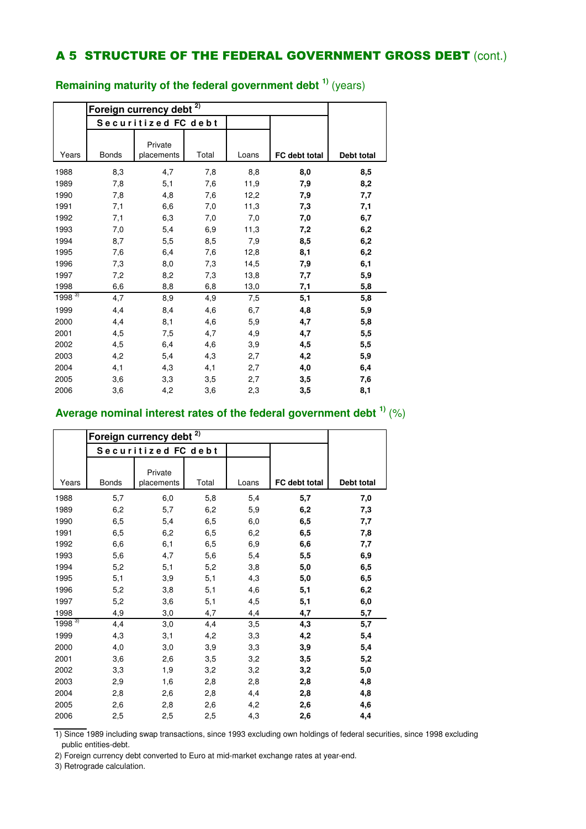|            | Foreign currency debt |                       |       |       |               |            |
|------------|-----------------------|-----------------------|-------|-------|---------------|------------|
|            |                       | Securitized FC debt   |       |       |               |            |
| Years      | <b>Bonds</b>          | Private<br>placements | Total | Loans | FC debt total | Debt total |
| 1988       | 8,3                   | 4,7                   | 7,8   | 8,8   | 8,0           | 8,5        |
| 1989       | 7,8                   | 5,1                   | 7,6   | 11,9  | 7,9           | 8,2        |
| 1990       | 7,8                   | 4,8                   | 7,6   | 12,2  | 7,9           | 7,7        |
| 1991       | 7,1                   | 6,6                   | 7,0   | 11,3  | 7,3           | 7,1        |
| 1992       | 7,1                   | 6,3                   | 7,0   | 7,0   | 7,0           | 6,7        |
| 1993       | 7,0                   | 5,4                   | 6,9   | 11,3  | 7,2           | 6,2        |
| 1994       | 8,7                   | 5,5                   | 8,5   | 7,9   | 8,5           | 6,2        |
| 1995       | 7,6                   | 6,4                   | 7,6   | 12,8  | 8,1           | 6,2        |
| 1996       | 7,3                   | 8,0                   | 7,3   | 14,5  | 7,9           | 6,1        |
| 1997       | 7,2                   | 8,2                   | 7,3   | 13,8  | 7,7           | 5,9        |
| 1998       | 6,6                   | 8,8                   | 6,8   | 13,0  | 7,1           | 5,8        |
| $1998^{3}$ | 4,7                   | 8,9                   | 4,9   | 7,5   | 5,1           | 5,8        |
| 1999       | 4,4                   | 8,4                   | 4,6   | 6,7   | 4,8           | 5,9        |
| 2000       | 4,4                   | 8,1                   | 4,6   | 5,9   | 4,7           | 5,8        |
| 2001       | 4,5                   | 7,5                   | 4,7   | 4,9   | 4,7           | 5,5        |
| 2002       | 4,5                   | 6,4                   | 4,6   | 3,9   | 4,5           | 5,5        |
| 2003       | 4,2                   | 5,4                   | 4,3   | 2,7   | 4,2           | 5,9        |
| 2004       | 4,1                   | 4,3                   | 4,1   | 2,7   | 4,0           | 6,4        |
| 2005       | 3,6                   | 3,3                   | 3,5   | 2,7   | 3,5           | 7,6        |
| 2006       | 3,6                   | 4,2                   | 3,6   | 2,3   | 3,5           | 8,1        |

### **Remaining maturity of the federal government debt 1)** (years)

### **Average nominal interest rates of the federal government debt 1)** (%)

|            |              | Foreign currency debt | 2)    |       |               |            |
|------------|--------------|-----------------------|-------|-------|---------------|------------|
|            |              | Securitized FC debt   |       |       |               |            |
| Years      | <b>Bonds</b> | Private<br>placements | Total | Loans | FC debt total | Debt total |
| 1988       | 5,7          | 6,0                   | 5,8   | 5,4   | 5,7           | 7,0        |
| 1989       | 6,2          | 5,7                   | 6,2   | 5,9   | 6,2           | 7,3        |
| 1990       | 6,5          | 5,4                   | 6,5   | 6,0   | 6,5           | 7,7        |
| 1991       | 6,5          | 6,2                   | 6,5   | 6,2   | 6,5           | 7,8        |
| 1992       | 6,6          | 6,1                   | 6,5   | 6,9   | 6,6           | 7,7        |
| 1993       | 5,6          | 4,7                   | 5,6   | 5,4   | 5,5           | 6,9        |
| 1994       | 5,2          | 5,1                   | 5,2   | 3,8   | 5,0           | 6,5        |
| 1995       | 5,1          | 3,9                   | 5,1   | 4,3   | 5,0           | 6,5        |
| 1996       | 5,2          | 3,8                   | 5,1   | 4,6   | 5,1           | 6,2        |
| 1997       | 5,2          | 3,6                   | 5,1   | 4,5   | 5,1           | 6,0        |
| 1998       | 4,9          | 3,0                   | 4,7   | 4,4   | 4,7           | 5,7        |
| $1998^{3}$ | 4,4          | 3,0                   | 4,4   | 3,5   | 4,3           | 5,7        |
| 1999       | 4,3          | 3,1                   | 4,2   | 3,3   | 4,2           | 5,4        |
| 2000       | 4,0          | 3,0                   | 3,9   | 3,3   | 3,9           | 5,4        |
| 2001       | 3,6          | 2,6                   | 3,5   | 3,2   | 3,5           | 5,2        |
| 2002       | 3,3          | 1,9                   | 3,2   | 3,2   | 3,2           | 5,0        |
| 2003       | 2,9          | 1,6                   | 2,8   | 2,8   | 2,8           | 4,8        |
| 2004       | 2,8          | 2,6                   | 2,8   | 4,4   | 2,8           | 4,8        |
| 2005       | 2,6          | 2,8                   | 2,6   | 4,2   | 2,6           | 4,6        |
| 2006       | 2,5          | 2,5                   | 2,5   | 4,3   | 2,6           | 4,4        |

1) Since 1989 including swap transactions, since 1993 excluding own holdings of federal securities, since 1998 excluding public entities-debt.

2) Foreign currency debt converted to Euro at mid-market exchange rates at year-end.

3) Retrograde calculation.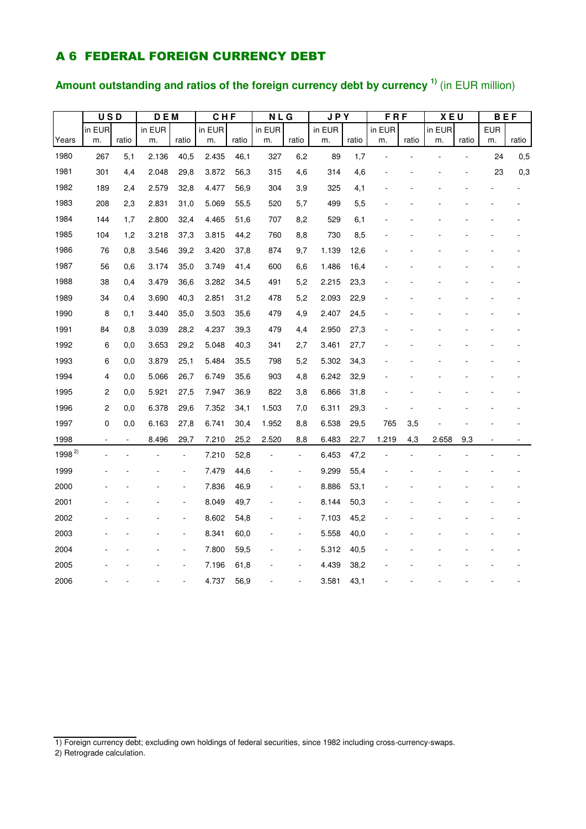### A 6 FEDERAL FOREIGN CURRENCY DEBT

### **Amount outstanding and ratios of the foreign currency debt by currency 1)** (in EUR million)

|            | <b>USD</b>              |                | <b>DEM</b> |       | CHF    |       |        | <b>NLG</b>     |        | <b>JPY</b> | $F$ R $F$ |       | <b>XEU</b> |       | <b>BEF</b> |       |
|------------|-------------------------|----------------|------------|-------|--------|-------|--------|----------------|--------|------------|-----------|-------|------------|-------|------------|-------|
|            | in EUR                  |                | in EUR     |       | in EUR |       | in EUR |                | in EUR |            | in EUR    |       | in EUR     |       | <b>EUR</b> |       |
| Years      | m.                      | ratio          | m.         | ratio | m.     | ratio | m.     | ratio          | m.     | ratio      | m.        | ratio | m.         | ratio | m.         | ratio |
| 1980       | 267                     | 5,1            | 2.136      | 40,5  | 2.435  | 46,1  | 327    | 6,2            | 89     | 1,7        |           |       |            |       | 24         | 0,5   |
| 1981       | 301                     | 4,4            | 2.048      | 29,8  | 3.872  | 56,3  | 315    | 4,6            | 314    | 4,6        |           |       |            |       | 23         | 0,3   |
| 1982       | 189                     | 2,4            | 2.579      | 32,8  | 4.477  | 56,9  | 304    | 3,9            | 325    | 4,1        |           |       |            |       |            |       |
| 1983       | 208                     | 2,3            | 2.831      | 31,0  | 5.069  | 55,5  | 520    | 5,7            | 499    | 5,5        |           |       |            |       |            |       |
| 1984       | 144                     | 1,7            | 2.800      | 32,4  | 4.465  | 51,6  | 707    | 8,2            | 529    | 6,1        |           |       |            |       |            |       |
| 1985       | 104                     | 1,2            | 3.218      | 37,3  | 3.815  | 44,2  | 760    | 8,8            | 730    | 8,5        |           |       |            |       |            |       |
| 1986       | 76                      | 0,8            | 3.546      | 39,2  | 3.420  | 37,8  | 874    | 9,7            | 1.139  | 12,6       |           |       |            |       |            |       |
| 1987       | 56                      | 0,6            | 3.174      | 35,0  | 3.749  | 41,4  | 600    | 6,6            | 1.486  | 16,4       |           |       |            |       |            |       |
| 1988       | 38                      | 0,4            | 3.479      | 36,6  | 3.282  | 34,5  | 491    | 5,2            | 2.215  | 23,3       |           |       |            |       |            |       |
| 1989       | 34                      | 0,4            | 3.690      | 40,3  | 2.851  | 31,2  | 478    | 5,2            | 2.093  | 22,9       |           |       |            |       |            |       |
| 1990       | 8                       | 0,1            | 3.440      | 35,0  | 3.503  | 35,6  | 479    | 4,9            | 2.407  | 24,5       |           |       |            |       |            |       |
| 1991       | 84                      | 0,8            | 3.039      | 28,2  | 4.237  | 39,3  | 479    | 4,4            | 2.950  | 27,3       |           |       |            |       |            |       |
| 1992       | 6                       | 0,0            | 3.653      | 29,2  | 5.048  | 40,3  | 341    | 2,7            | 3.461  | 27,7       |           |       |            |       |            |       |
| 1993       | 6                       | 0,0            | 3.879      | 25,1  | 5.484  | 35,5  | 798    | 5,2            | 5.302  | 34,3       |           |       |            |       |            |       |
| 1994       | 4                       | 0,0            | 5.066      | 26,7  | 6.749  | 35,6  | 903    | 4,8            | 6.242  | 32,9       |           |       |            |       |            |       |
| 1995       | $\overline{\mathbf{c}}$ | 0,0            | 5.921      | 27,5  | 7.947  | 36,9  | 822    | 3,8            | 6.866  | 31,8       |           |       |            |       |            |       |
| 1996       | $\overline{\mathbf{c}}$ | 0,0            | 6.378      | 29,6  | 7.352  | 34,1  | 1.503  | 7,0            | 6.311  | 29,3       |           |       |            |       |            |       |
| 1997       | 0                       | 0,0            | 6.163      | 27,8  | 6.741  | 30,4  | 1.952  | 8,8            | 6.538  | 29,5       | 765       | 3,5   |            |       |            |       |
| 1998       | ÷,                      | $\blacksquare$ | 8.496      | 29,7  | 7.210  | 25,2  | 2.520  | 8,8            | 6.483  | 22,7       | 1.219     | 4,3   | 2.658      | 9,3   |            |       |
| $1998^{2}$ |                         |                |            | ÷,    | 7.210  | 52,8  |        | $\blacksquare$ | 6.453  | 47,2       |           |       |            |       |            |       |
| 1999       |                         |                |            |       | 7.479  | 44,6  |        | $\overline{a}$ | 9.299  | 55,4       |           |       |            |       |            |       |
| 2000       |                         |                |            |       | 7.836  | 46,9  |        | $\overline{a}$ | 8.886  | 53,1       |           |       |            |       |            |       |
| 2001       |                         |                |            |       | 8.049  | 49,7  |        | Ĭ.             | 8.144  | 50,3       |           |       |            |       |            |       |
| 2002       |                         |                |            |       | 8.602  | 54,8  |        | ÷              | 7.103  | 45,2       |           |       |            |       |            |       |
| 2003       |                         |                |            |       | 8.341  | 60,0  |        | $\overline{a}$ | 5.558  | 40,0       |           |       |            |       |            |       |
| 2004       |                         |                |            |       | 7.800  | 59,5  |        | ÷              | 5.312  | 40,5       |           |       |            |       |            |       |
| 2005       |                         |                |            |       | 7.196  | 61,8  |        |                | 4.439  | 38,2       |           |       |            |       |            |       |
| 2006       |                         |                |            |       | 4.737  | 56,9  |        |                | 3.581  | 43,1       |           |       |            |       |            |       |

<sup>1)</sup> Foreign currency debt; excluding own holdings of federal securities, since 1982 including cross-currency-swaps.

<sup>2)</sup> Retrograde calculation.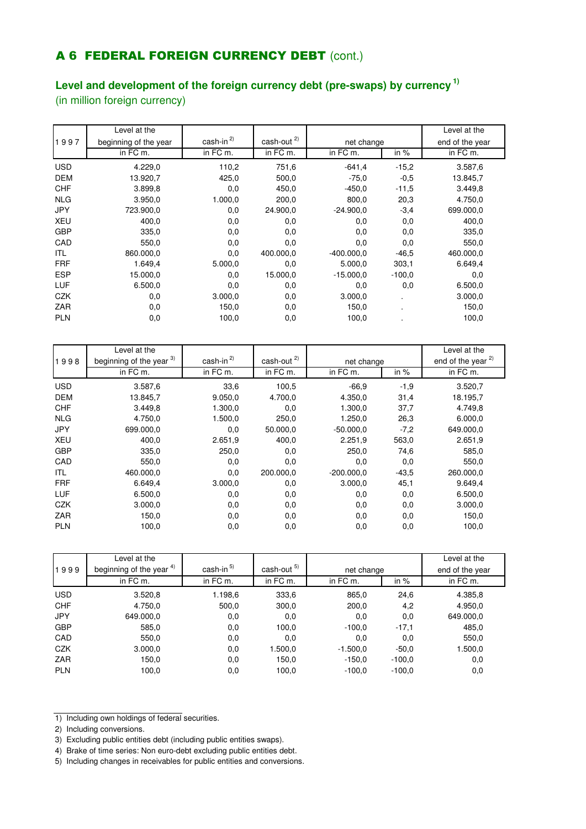### **A 6 FEDERAL FOREIGN CURRENCY DEBT** (cont.)

### **Level and development of the foreign currency debt (pre-swaps) by currency 1)**

(in million foreign currency)

|            | Level at the          |                 |                  |              |          | Level at the    |
|------------|-----------------------|-----------------|------------------|--------------|----------|-----------------|
| 1997       | beginning of the year | cash-in $^{2)}$ | cash-out $^{2)}$ | net change   |          | end of the year |
|            | in FC m.              | in FC m.        | in FC m.         | in FC m.     | in $%$   | in FC m.        |
| <b>USD</b> | 4.229,0               | 110,2           | 751,6            | $-641,4$     | $-15,2$  | 3.587,6         |
| <b>DEM</b> | 13.920,7              | 425,0           | 500,0            | $-75.0$      | $-0,5$   | 13.845,7        |
| <b>CHF</b> | 3.899,8               | 0,0             | 450,0            | $-450,0$     | $-11,5$  | 3.449,8         |
| <b>NLG</b> | 3.950,0               | 1.000,0         | 200,0            | 800,0        | 20,3     | 4.750,0         |
| <b>JPY</b> | 723.900,0             | 0,0             | 24.900,0         | $-24.900.0$  | $-3,4$   | 699.000,0       |
| <b>XEU</b> | 400,0                 | 0,0             | 0,0              | 0,0          | 0,0      | 400,0           |
| <b>GBP</b> | 335,0                 | 0,0             | 0,0              | 0,0          | 0,0      | 335,0           |
| CAD        | 550,0                 | 0,0             | 0,0              | 0,0          | 0,0      | 550,0           |
| ITL        | 860.000,0             | 0,0             | 400.000,0        | $-400.000.0$ | $-46.5$  | 460.000,0       |
| <b>FRF</b> | 1.649,4               | 5.000,0         | 0,0              | 5.000,0      | 303,1    | 6.649,4         |
| <b>ESP</b> | 15.000,0              | 0,0             | 15.000,0         | $-15.000.0$  | $-100.0$ | 0,0             |
| <b>LUF</b> | 6.500,0               | 0,0             | 0,0              | 0,0          | 0,0      | 6.500,0         |
| <b>CZK</b> | 0,0                   | 3.000,0         | 0,0              | 3.000,0      | . .      | 3.000,0         |
| ZAR        | 0,0                   | 150,0           | 0,0              | 150,0        |          | 150,0           |
| <b>PLN</b> | 0,0                   | 100,0           | 0,0              | 100,0        |          | 100,0           |

|            | Level at the             |            |                             |              |         | Level at the                  |
|------------|--------------------------|------------|-----------------------------|--------------|---------|-------------------------------|
| 1998       | beginning of the year 3) | $cash-in2$ | $\frac{\text{cash-out}}{2}$ | net change   |         | end of the year <sup>2)</sup> |
|            | in FC m.                 | in FC m.   | in FC m.                    | in FC m.     | in $%$  | in FC m.                      |
| <b>USD</b> | 3.587,6                  | 33,6       | 100,5                       | $-66.9$      | $-1,9$  | 3.520,7                       |
| <b>DEM</b> | 13.845,7                 | 9.050,0    | 4.700,0                     | 4.350,0      | 31,4    | 18.195,7                      |
| <b>CHF</b> | 3.449,8                  | 1.300,0    | 0,0                         | 1.300,0      | 37,7    | 4.749.8                       |
| <b>NLG</b> | 4.750,0                  | 1.500,0    | 250,0                       | 1.250,0      | 26,3    | 6.000,0                       |
| <b>JPY</b> | 699.000,0                | 0,0        | 50.000,0                    | $-50.000,0$  | $-7,2$  | 649.000,0                     |
| <b>XEU</b> | 400.0                    | 2.651,9    | 400,0                       | 2.251,9      | 563,0   | 2.651,9                       |
| <b>GBP</b> | 335,0                    | 250,0      | 0,0                         | 250,0        | 74,6    | 585,0                         |
| CAD        | 550,0                    | 0,0        | 0,0                         | 0,0          | 0,0     | 550,0                         |
| ITL        | 460.000,0                | 0,0        | 200.000,0                   | $-200.000.0$ | $-43.5$ | 260.000,0                     |
| <b>FRF</b> | 6.649,4                  | 3.000,0    | 0,0                         | 3.000,0      | 45,1    | 9.649,4                       |
| LUF        | 6.500,0                  | 0,0        | 0,0                         | 0,0          | 0,0     | 6.500,0                       |
| <b>CZK</b> | 3.000,0                  | 0,0        | 0,0                         | 0,0          | 0,0     | 3.000,0                       |
| <b>ZAR</b> | 150,0                    | 0,0        | 0,0                         | 0,0          | 0,0     | 150,0                         |
| <b>PLN</b> | 100,0                    | 0,0        | 0,0                         | 0,0          | 0,0     | 100,0                         |

|            | Level at the             |                       |             |            |          | Level at the    |
|------------|--------------------------|-----------------------|-------------|------------|----------|-----------------|
| 1999       | beginning of the year 4) | cash-in <sup>5)</sup> | cash-out 5) | net change |          | end of the year |
|            | in FC m.                 | in FC m.              | in FC m.    | in FC m.   | in $%$   | in FC m.        |
| <b>USD</b> | 3.520,8                  | 1.198,6               | 333.6       | 865,0      | 24,6     | 4.385,8         |
| <b>CHF</b> | 4.750,0                  | 500,0                 | 300,0       | 200,0      | 4,2      | 4.950,0         |
| <b>JPY</b> | 649.000,0                | 0,0                   | 0,0         | 0,0        | 0,0      | 649.000,0       |
| <b>GBP</b> | 585,0                    | 0,0                   | 100,0       | $-100.0$   | $-17,1$  | 485,0           |
| CAD        | 550,0                    | 0,0                   | 0,0         | 0,0        | 0,0      | 550,0           |
| <b>CZK</b> | 3.000,0                  | 0,0                   | 1.500,0     | $-1.500,0$ | $-50,0$  | 1.500,0         |
| ZAR        | 150,0                    | 0,0                   | 150,0       | $-150,0$   | $-100.0$ | 0,0             |
| <b>PLN</b> | 100,0                    | 0,0                   | 100,0       | $-100.0$   | $-100.0$ | 0,0             |

<sup>1)</sup> Including own holdings of federal securities.

<sup>2)</sup> Including conversions.

<sup>3)</sup> Excluding public entities debt (including public entities swaps).

<sup>4)</sup> Brake of time series: Non euro-debt excluding public entities debt.

<sup>5)</sup> Including changes in receivables for public entities and conversions.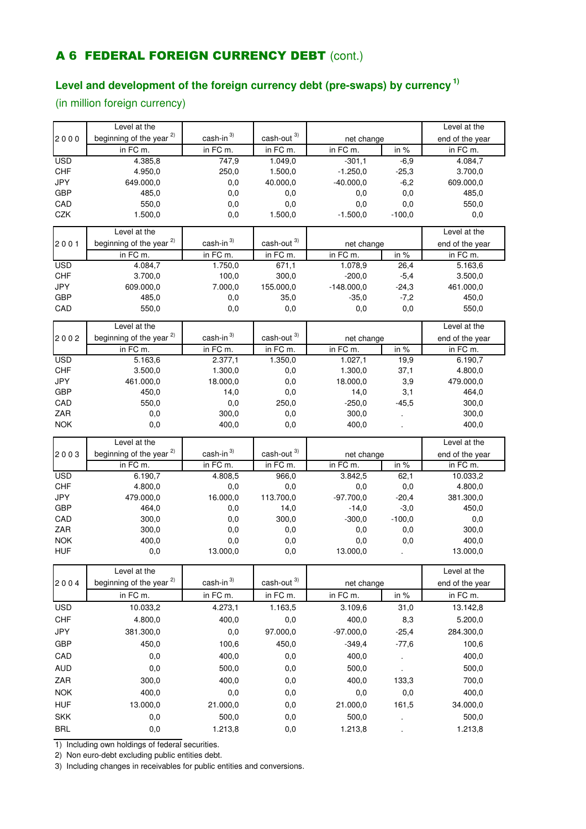### **A 6 FEDERAL FOREIGN CURRENCY DEBT** (cont.)

### **Level and development of the foreign currency debt (pre-swaps) by currency 1)**

(in million foreign currency)

|                          | Level at the                        |                         |                               |                  |          | Level at the     |
|--------------------------|-------------------------------------|-------------------------|-------------------------------|------------------|----------|------------------|
| 2000                     | beginning of the year <sup>2)</sup> | $cash-in$ <sup>3)</sup> | $\textsf{cash-out} \xspace^3$ | net change       |          | end of the year  |
|                          | in FC m.                            | in FC m.                | in FC m.                      | in FC m.         | in %     | in FC m.         |
| <b>USD</b>               | 4.385,8                             | 747,9                   | 1.049,0                       | $-301,1$         | $-6,9$   | 4.084,7          |
| <b>CHF</b>               | 4.950,0                             | 250,0                   | 1.500,0                       | $-1.250,0$       | $-25,3$  | 3.700,0          |
| <b>JPY</b>               | 649.000,0                           | 0,0                     | 40.000,0                      | $-40.000,0$      | $-6,2$   | 609.000,0        |
| <b>GBP</b>               | 485,0                               | 0,0                     | 0,0                           | 0,0              | 0,0      | 485,0            |
| CAD                      | 550,0                               | 0,0                     | 0,0                           | 0,0              | 0,0      | 550,0            |
| CZK                      | 1.500,0                             | 0,0                     | 1.500,0                       | $-1.500,0$       | $-100,0$ | 0,0              |
|                          | Level at the                        |                         |                               |                  |          | Level at the     |
| 2001                     | beginning of the year <sup>2)</sup> | cash-in <sup>3)</sup>   | cash-out <sup>3)</sup>        | net change       |          | end of the year  |
|                          | in FC m.                            | in FC m.                | in FC m.                      | in FC m.         | in $%$   | in FC m.         |
| <b>USD</b>               | 4.084,7                             | 1.750,0                 | 671,1                         | 1.078,9          | 26,4     | 5.163,6          |
| <b>CHF</b>               | 3.700,0                             | 100,0                   | 300,0                         | $-200,0$         | $-5,4$   | 3.500,0          |
| JPY                      | 609.000,0                           | 7.000,0                 | 155.000,0                     | $-148.000,0$     | $-24,3$  | 461.000,0        |
| <b>GBP</b>               | 485,0                               | 0,0                     | 35,0                          | $-35,0$          | $-7,2$   | 450,0            |
| CAD                      | 550,0                               | 0,0                     | 0,0                           | 0,0              | 0,0      | 550,0            |
|                          | Level at the                        |                         |                               |                  |          | Level at the     |
| 2002                     | beginning of the year <sup>2)</sup> | cash-in $3)$            | cash-out <sup>3)</sup>        | net change       |          | end of the year  |
|                          | in FC m.                            | in $FCm$ .              | in FC m.                      | in FC m.         | in $%$   | $in FC$ m.       |
| <b>USD</b>               | 5.163,6                             | 2.377,1                 | 1.350,0                       | 1.027,1          | 19,9     | 6.190,7          |
| <b>CHF</b>               | 3.500,0                             | 1.300,0                 | $_{\rm 0,0}$                  | 1.300,0          | 37,1     | 4.800,0          |
| JPY                      | 461.000,0                           | 18.000,0                | 0,0                           | 18.000,0         | 3,9      | 479.000,0        |
| <b>GBP</b>               | 450,0                               | 14,0                    | 0,0                           | 14,0             | 3,1      | 464,0            |
| CAD                      | 550,0                               | 0,0                     | 250,0                         | $-250,0$         | $-45,5$  | 300,0            |
| ZAR                      | 0,0                                 | 300,0                   | 0,0                           | 300,0            |          | 300,0            |
| <b>NOK</b>               | 0,0                                 | 400,0                   | 0,0                           | 400,0            |          | 400,0            |
|                          | Level at the                        |                         |                               |                  |          | Level at the     |
| 2003                     | beginning of the year <sup>2)</sup> | cash-in <sup>3)</sup>   | cash-out <sup>3)</sup>        | net change       |          | end of the year  |
|                          | in FC m.                            | in FC m.                | in FC m.                      | in FC m.         | in %     | in FC m.         |
| <b>USD</b>               | 6.190,7                             | 4.808,5                 | 966,0                         | 3.842,5          | 62,1     | 10.033,2         |
| <b>CHF</b>               | 4.800,0                             | 0,0                     | 0,0                           | 0,0              | 0,0      | 4.800,0          |
| <b>JPY</b>               | 479.000,0                           | 16.000,0                | 113.700,0                     | $-97.700,0$      | $-20,4$  | 381.300,0        |
| <b>GBP</b>               | 464,0                               | 0,0                     | 14,0                          | $-14,0$          | $-3,0$   | 450,0            |
| CAD                      | 300,0                               | 0,0                     | 300,0                         | $-300,0$         | $-100,0$ | 0,0              |
| ZAR                      | 300,0                               | 0,0                     | 0,0                           | 0,0              | 0,0      | 300,0            |
| <b>NOK</b>               | 400,0                               | 0,0                     | 0,0                           | 0,0              | 0,0      | 400,0            |
| <b>HUF</b>               | 0,0                                 | 13.000,0                | 0,0                           | 13.000,0         |          | 13.000,0         |
|                          | Level at the                        |                         |                               |                  |          | Level at the     |
| 2004                     | beginning of the year <sup>2)</sup> | $cash-in$ <sup>3)</sup> | cash-out <sup>3)</sup>        | net change       |          | end of the year  |
|                          | in FC m.                            | in FC m.                | in FC m.                      | in FC m.         | in %     | in FC m.         |
| <b>USD</b>               | 10.033,2                            | 4.273,1                 | 1.163,5                       | 3.109,6          | 31,0     | 13.142,8         |
| <b>CHF</b>               | 4.800,0                             | 400,0                   | 0,0                           | 400,0            | 8,3      | 5.200,0          |
| JPY                      | 381.300,0                           | 0,0                     | 97.000,0                      | $-97.000,0$      | $-25,4$  | 284.300,0        |
| <b>GBP</b>               | 450,0                               | 100,6                   | 450,0                         | $-349,4$         | $-77,6$  | 100,6            |
| CAD                      | 0,0                                 | 400,0                   | 0,0                           | 400,0            |          | 400,0            |
| <b>AUD</b>               | 0,0                                 | 500,0                   | 0,0                           | 500,0            | $\cdot$  | 500,0            |
| ZAR                      | 300,0                               | 400,0                   | 0,0                           | 400,0            | 133,3    | 700,0            |
| <b>NOK</b>               | 400,0                               | 0,0                     | 0,0                           | 0,0              | 0,0      | 400,0            |
|                          |                                     |                         |                               |                  |          |                  |
|                          |                                     |                         |                               |                  |          |                  |
| <b>HUF</b>               | 13.000,0                            | 21.000,0                | 0,0                           | 21.000,0         | 161,5    | 34.000,0         |
| <b>SKK</b><br><b>BRL</b> | 0,0<br>0,0                          | 500,0<br>1.213,8        | 0,0<br>0,0                    | 500,0<br>1.213,8 |          | 500,0<br>1.213,8 |

1) Including own holdings of federal securities.

2) Non euro-debt excluding public entities debt.

3) Including changes in receivables for public entities and conversions.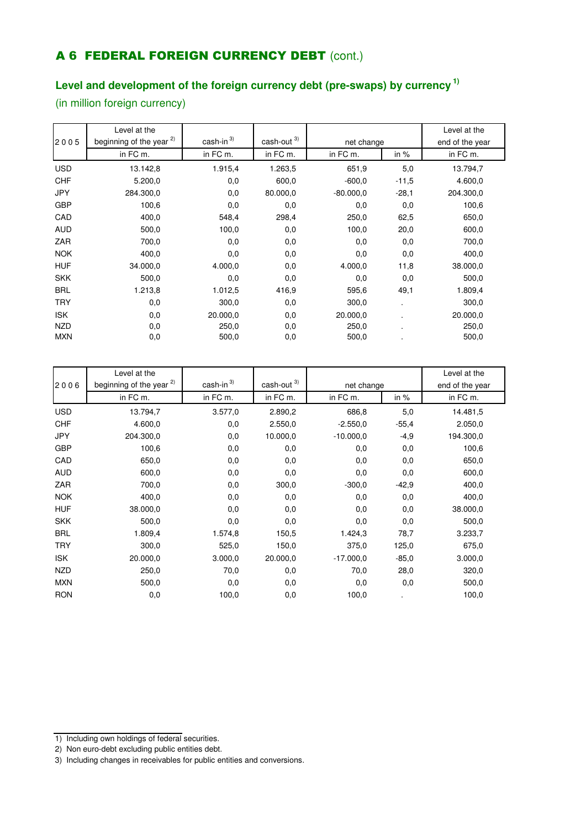### **A 6 FEDERAL FOREIGN CURRENCY DEBT** (cont.)

### **Level and development of the foreign currency debt (pre-swaps) by currency 1)**

(in million foreign currency)

|            | Level at the                        |              |                        |             |         | Level at the    |
|------------|-------------------------------------|--------------|------------------------|-------------|---------|-----------------|
| 2005       | beginning of the year <sup>2)</sup> | cash-in $3)$ | cash-out <sup>3)</sup> | net change  |         | end of the year |
|            | in FC m.                            | in FC m.     | in FC m.               | in FC m.    | in $%$  | in FC m.        |
| <b>USD</b> | 13.142,8                            | 1.915,4      | 1.263,5                | 651,9       | 5,0     | 13.794,7        |
| <b>CHF</b> | 5.200,0                             | 0,0          | 600,0                  | $-600.0$    | $-11,5$ | 4.600,0         |
| <b>JPY</b> | 284.300,0                           | 0,0          | 80.000,0               | $-80.000.0$ | $-28,1$ | 204.300,0       |
| <b>GBP</b> | 100,6                               | 0,0          | 0,0                    | 0,0         | 0,0     | 100,6           |
| CAD        | 400,0                               | 548,4        | 298,4                  | 250,0       | 62,5    | 650,0           |
| <b>AUD</b> | 500,0                               | 100,0        | 0,0                    | 100,0       | 20,0    | 600,0           |
| ZAR        | 700,0                               | 0,0          | 0,0                    | 0,0         | 0,0     | 700,0           |
| <b>NOK</b> | 400,0                               | 0,0          | 0,0                    | 0,0         | 0,0     | 400,0           |
| <b>HUF</b> | 34.000,0                            | 4.000,0      | 0,0                    | 4.000,0     | 11,8    | 38.000,0        |
| <b>SKK</b> | 500,0                               | 0,0          | 0,0                    | 0,0         | 0,0     | 500,0           |
| <b>BRL</b> | 1.213,8                             | 1.012,5      | 416,9                  | 595,6       | 49,1    | 1.809,4         |
| <b>TRY</b> | 0,0                                 | 300,0        | 0,0                    | 300,0       | $\cdot$ | 300,0           |
| <b>ISK</b> | 0,0                                 | 20.000,0     | 0,0                    | 20.000,0    |         | 20.000,0        |
| <b>NZD</b> | 0,0                                 | 250,0        | 0,0                    | 250,0       |         | 250,0           |
| <b>MXN</b> | 0,0                                 | 500,0        | 0,0                    | 500,0       |         | 500,0           |

|            | Level at the                        |                         |                        |             |         | Level at the    |
|------------|-------------------------------------|-------------------------|------------------------|-------------|---------|-----------------|
| 2006       | beginning of the year <sup>2)</sup> | $cash-in$ <sup>3)</sup> | cash-out <sup>3)</sup> | net change  |         | end of the year |
|            | in FC m.                            | in FC m.                | in FC m.               | in FC m.    | in $%$  | in FC m.        |
| <b>USD</b> | 13.794,7                            | 3.577,0                 | 2.890,2                | 686,8       | 5,0     | 14.481,5        |
| <b>CHF</b> | 4.600,0                             | 0,0                     | 2.550,0                | $-2.550,0$  | $-55,4$ | 2.050,0         |
| <b>JPY</b> | 204.300,0                           | 0,0                     | 10.000,0               | $-10.000.0$ | $-4,9$  | 194.300,0       |
| <b>GBP</b> | 100,6                               | 0,0                     | 0,0                    | 0,0         | 0,0     | 100,6           |
| CAD        | 650,0                               | 0,0                     | 0,0                    | 0,0         | 0,0     | 650,0           |
| <b>AUD</b> | 600,0                               | 0,0                     | 0,0                    | 0,0         | 0,0     | 600,0           |
| ZAR        | 700,0                               | 0,0                     | 300,0                  | $-300.0$    | $-42,9$ | 400,0           |
| <b>NOK</b> | 400,0                               | 0,0                     | 0,0                    | 0,0         | 0,0     | 400,0           |
| <b>HUF</b> | 38.000,0                            | 0,0                     | 0,0                    | 0,0         | 0,0     | 38.000,0        |
| <b>SKK</b> | 500,0                               | 0,0                     | 0,0                    | 0,0         | 0,0     | 500,0           |
| <b>BRL</b> | 1.809,4                             | 1.574,8                 | 150,5                  | 1.424,3     | 78,7    | 3.233,7         |
| <b>TRY</b> | 300,0                               | 525,0                   | 150,0                  | 375,0       | 125,0   | 675,0           |
| <b>ISK</b> | 20.000,0                            | 3.000,0                 | 20.000,0               | $-17.000.0$ | $-85,0$ | 3.000,0         |
| <b>NZD</b> | 250,0                               | 70,0                    | 0,0                    | 70,0        | 28,0    | 320,0           |
| <b>MXN</b> | 500,0                               | 0,0                     | 0,0                    | 0,0         | 0,0     | 500,0           |
| <b>RON</b> | 0,0                                 | 100,0                   | 0,0                    | 100,0       |         | 100,0           |

- 1) Including own holdings of federal securities.
- 2) Non euro-debt excluding public entities debt.

<sup>3)</sup> Including changes in receivables for public entities and conversions.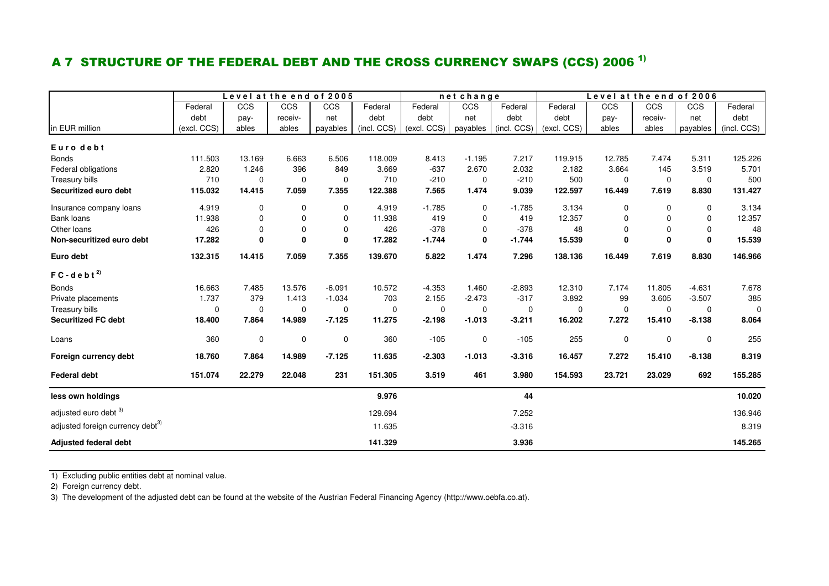### A 7 STRUCTURE OF THE FEDERAL DEBT AND THE CROSS CURRENCY SWAPS (CCS) 2006  $^{\rm 1)}$

|                                              |             | Level at the end of 2005 |             |              |             |             | netchange   |             | Level at the end of 2006 |             |              |             |             |
|----------------------------------------------|-------------|--------------------------|-------------|--------------|-------------|-------------|-------------|-------------|--------------------------|-------------|--------------|-------------|-------------|
|                                              | Federal     | CCS                      | CCS         | CCS          | Federal     | Federal     | CCS         | Federal     | Federal                  | CCS         | CCS          | <b>CCS</b>  | Federal     |
|                                              | debt        | pay-                     | receiv-     | net          | debt        | debt        | net         | debt        | debt                     | pay-        | receiv-      | net         | debt        |
| in EUR million                               | (excl. CCS) | ables                    | ables       | payables     | (incl. CCS) | (excl. CCS) | payables    | (incl. CCS) | (excl. CCS)              | ables       | ables        | payables    | (incl. CCS) |
| Euro debt                                    |             |                          |             |              |             |             |             |             |                          |             |              |             |             |
| <b>Bonds</b>                                 | 111.503     | 13.169                   | 6.663       | 6.506        | 118.009     | 8.413       | $-1.195$    | 7.217       | 119.915                  | 12.785      | 7.474        | 5.311       | 125.226     |
| Federal obligations                          | 2.820       | 1.246                    | 396         | 849          | 3.669       | $-637$      | 2.670       | 2.032       | 2.182                    | 3.664       | 145          | 3.519       | 5.701       |
| Treasury bills                               | 710         | $\mathbf 0$              | $\mathbf 0$ | $\mathbf 0$  | 710         | $-210$      | $\mathbf 0$ | $-210$      | 500                      | $\mathbf 0$ | 0            | $\mathbf 0$ | 500         |
| Securitized euro debt                        | 115.032     | 14.415                   | 7.059       | 7.355        | 122.388     | 7.565       | 1.474       | 9.039       | 122.597                  | 16.449      | 7.619        | 8.830       | 131.427     |
| Insurance company loans                      | 4.919       | 0                        | $\mathbf 0$ | 0            | 4.919       | $-1.785$    | 0           | $-1.785$    | 3.134                    | 0           | 0            | $\mathbf 0$ | 3.134       |
| Bank loans                                   | 11.938      | $\Omega$                 | $\Omega$    | 0            | 11.938      | 419         | $\mathbf 0$ | 419         | 12.357                   | $\Omega$    | $\Omega$     | 0           | 12.357      |
| Other loans                                  | 426         | $\mathbf 0$              | 0           | 0            | 426         | $-378$      | $\mathbf 0$ | $-378$      | 48                       | $\mathbf 0$ | $\mathbf 0$  | $\mathbf 0$ | 48          |
| Non-securitized euro debt                    | 17.282      | 0                        | $\bf{0}$    | $\mathbf{0}$ | 17.282      | $-1.744$    | 0           | $-1.744$    | 15.539                   | 0           | $\mathbf{0}$ | 0           | 15.539      |
| Euro debt                                    | 132.315     | 14.415                   | 7.059       | 7.355        | 139.670     | 5.822       | 1.474       | 7.296       | 138.136                  | 16.449      | 7.619        | 8.830       | 146.966     |
| $FC - d e b t^{2}$                           |             |                          |             |              |             |             |             |             |                          |             |              |             |             |
| <b>Bonds</b>                                 | 16.663      | 7.485                    | 13.576      | $-6.091$     | 10.572      | $-4.353$    | 1.460       | $-2.893$    | 12.310                   | 7.174       | 11.805       | $-4.631$    | 7.678       |
| Private placements                           | 1.737       | 379                      | 1.413       | $-1.034$     | 703         | 2.155       | $-2.473$    | $-317$      | 3.892                    | 99          | 3.605        | $-3.507$    | 385         |
| Treasury bills                               | 0           | $\mathbf 0$              | 0           | 0            | $\mathbf 0$ | $\mathbf 0$ | 0           | 0           | 0                        | $\mathbf 0$ | $\mathbf 0$  | $\Omega$    | $\Omega$    |
| <b>Securitized FC debt</b>                   | 18.400      | 7.864                    | 14.989      | $-7.125$     | 11.275      | $-2.198$    | $-1.013$    | $-3.211$    | 16.202                   | 7.272       | 15.410       | $-8.138$    | 8.064       |
| Loans                                        | 360         | $\mathbf 0$              | $\pmb{0}$   | 0            | 360         | $-105$      | 0           | $-105$      | 255                      | $\mathbf 0$ | 0            | 0           | 255         |
| Foreign currency debt                        | 18.760      | 7.864                    | 14.989      | $-7.125$     | 11.635      | $-2.303$    | $-1.013$    | $-3.316$    | 16.457                   | 7.272       | 15.410       | $-8.138$    | 8.319       |
| <b>Federal debt</b>                          | 151.074     | 22.279                   | 22.048      | 231          | 151.305     | 3.519       | 461         | 3.980       | 154.593                  | 23.721      | 23.029       | 692         | 155.285     |
| less own holdings                            |             |                          |             |              | 9.976       |             |             | 44          |                          |             |              |             | 10.020      |
| adjusted euro debt 3)                        |             |                          |             |              | 129.694     |             |             | 7.252       |                          |             |              |             | 136.946     |
| adjusted foreign currency debt <sup>3)</sup> |             |                          |             |              | 11.635      |             |             | $-3.316$    |                          |             |              |             | 8.319       |
| <b>Adjusted federal debt</b>                 |             |                          |             |              | 141.329     |             |             | 3.936       |                          |             |              |             | 145.265     |

1) Excluding public entities debt at nominal value.

2) Foreign currency debt.

3) The development of the adjusted debt can be found at the website of the Austrian Federal Financing Agency (http://www.oebfa.co.at).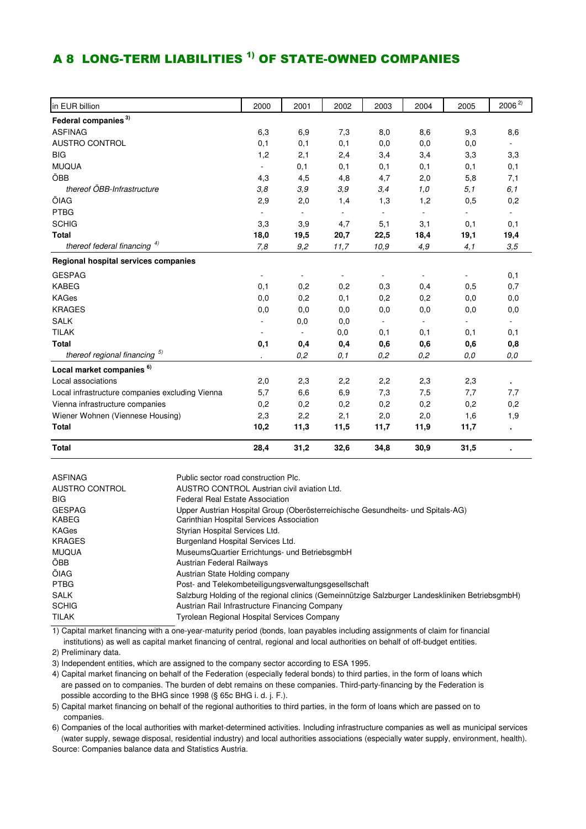### A 8 LONG-TERM LIABILITIES <sup>1)</sup> OF STATE-OWNED COMPANIES

| in EUR billion                                  | 2000                     | 2001                     | 2002                     | 2003                     | 2004                     | 2005                     | $2006^{2}$     |
|-------------------------------------------------|--------------------------|--------------------------|--------------------------|--------------------------|--------------------------|--------------------------|----------------|
| Federal companies <sup>3)</sup>                 |                          |                          |                          |                          |                          |                          |                |
| <b>ASFINAG</b>                                  | 6,3                      | 6,9                      | 7,3                      | 8,0                      | 8,6                      | 9,3                      | 8,6            |
| <b>AUSTRO CONTROL</b>                           | 0,1                      | 0,1                      | 0,1                      | 0,0                      | 0,0                      | 0,0                      |                |
| <b>BIG</b>                                      | 1,2                      | 2,1                      | 2,4                      | 3,4                      | 3,4                      | 3,3                      | 3,3            |
| <b>MUQUA</b>                                    | $\blacksquare$           | 0,1                      | 0,1                      | 0,1                      | 0,1                      | 0,1                      | 0,1            |
| ÖBB                                             | 4,3                      | 4,5                      | 4,8                      | 4,7                      | 2,0                      | 5,8                      | 7,1            |
| thereof ÖBB-Infrastructure                      | 3,8                      | 3,9                      | 3,9                      | 3,4                      | 1,0                      | 5,1                      | 6,1            |
| ÖIAG                                            | 2,9                      | 2,0                      | 1,4                      | 1,3                      | 1,2                      | 0,5                      | 0,2            |
| <b>PTBG</b>                                     | $\overline{\phantom{a}}$ | $\overline{\phantom{a}}$ | $\overline{\phantom{a}}$ | $\overline{\phantom{a}}$ | $\overline{\phantom{a}}$ | $\overline{\phantom{0}}$ | $\blacksquare$ |
| <b>SCHIG</b>                                    | 3,3                      | 3,9                      | 4,7                      | 5,1                      | 3,1                      | 0,1                      | 0,1            |
| <b>Total</b>                                    | 18,0                     | 19,5                     | 20,7                     | 22,5                     | 18,4                     | 19,1                     | 19,4           |
| thereof federal financing $4)$                  | 7,8                      | 9,2                      | 11,7                     | 10,9                     | 4,9                      | 4,1                      | 3,5            |
| Regional hospital services companies            |                          |                          |                          |                          |                          |                          |                |
| <b>GESPAG</b>                                   | $\overline{\phantom{a}}$ |                          | -                        |                          |                          |                          | 0,1            |
| <b>KABEG</b>                                    | 0,1                      | 0,2                      | 0,2                      | 0,3                      | 0,4                      | 0,5                      | 0,7            |
| <b>KAGes</b>                                    | 0,0                      | 0,2                      | 0,1                      | 0,2                      | 0,2                      | 0,0                      | 0,0            |
| <b>KRAGES</b>                                   | 0,0                      | 0,0                      | 0,0                      | 0,0                      | 0,0                      | 0,0                      | 0,0            |
| <b>SALK</b>                                     |                          | 0,0                      | 0,0                      |                          |                          |                          |                |
| <b>TILAK</b>                                    |                          |                          | 0,0                      | 0,1                      | 0,1                      | 0,1                      | 0,1            |
| <b>Total</b>                                    | 0,1                      | 0,4                      | 0,4                      | 0,6                      | 0,6                      | 0,6                      | 0,8            |
| thereof regional financing 5)                   |                          | 0,2                      | 0, 1                     | 0,2                      | 0,2                      | 0,0                      | 0,0            |
| Local market companies <sup>6)</sup>            |                          |                          |                          |                          |                          |                          |                |
| Local associations                              | 2,0                      | 2,3                      | 2,2                      | 2,2                      | 2,3                      | 2,3                      |                |
| Local infrastructure companies excluding Vienna | 5,7                      | 6,6                      | 6,9                      | 7,3                      | 7,5                      | 7,7                      | 7,7            |
| Vienna infrastructure companies                 | 0,2                      | 0,2                      | 0,2                      | 0,2                      | 0,2                      | 0,2                      | 0,2            |
| Wiener Wohnen (Viennese Housing)                | 2,3                      | 2,2                      | 2,1                      | 2,0                      | 2,0                      | 1,6                      | 1,9            |
| <b>Total</b>                                    | 10,2                     | 11,3                     | 11,5                     | 11,7                     | 11,9                     | 11,7                     | $\blacksquare$ |
| <b>Total</b>                                    | 28,4                     | 31,2                     | 32,6                     | 34,8                     | 30,9                     | 31,5                     |                |

| <b>ASFINAG</b>                | Public sector road construction Plc.                                                                                        |
|-------------------------------|-----------------------------------------------------------------------------------------------------------------------------|
| AUSTRO CONTROL                | AUSTRO CONTROL Austrian civil aviation Ltd.                                                                                 |
| <b>BIG</b>                    | <b>Federal Real Estate Association</b>                                                                                      |
| <b>GESPAG</b><br><b>KABEG</b> | Upper Austrian Hospital Group (Oberösterreichische Gesundheits- und Spitals-AG)<br>Carinthian Hospital Services Association |
| KAGes                         | Styrian Hospital Services Ltd.                                                                                              |
| <b>KRAGES</b>                 | Burgenland Hospital Services Ltd.                                                                                           |
| <b>MUQUA</b>                  | MuseumsQuartier Errichtungs- und BetriebsgmbH                                                                               |
| ÔBB.                          | Austrian Federal Railways                                                                                                   |
| ÖIAG                          | Austrian State Holding company                                                                                              |
| <b>PTBG</b>                   | Post- and Telekombeteiligungsverwaltungsgesellschaft                                                                        |
| <b>SALK</b>                   | Salzburg Holding of the regional clinics (Gemeinnützige Salzburger Landeskliniken BetriebsgmbH)                             |
| <b>SCHIG</b>                  | Austrian Rail Infrastructure Financing Company                                                                              |
| <b>TILAK</b>                  | <b>Tyrolean Regional Hospital Services Company</b>                                                                          |

institutions) as well as capital market financing of central, regional and local authorities on behalf of off-budget entities. 1) Capital market financing with a one-year-maturity period (bonds, loan payables including assignments of claim for financial

2) Preliminary data.

3) Independent entities, which are assigned to the company sector according to ESA 1995.

4) Capital market financing on behalf of the Federation (especially federal bonds) to third parties, in the form of loans which are passed on to companies. The burden of debt remains on these companies. Third-party-financing by the Federation is possible according to the BHG since 1998 (§ 65c BHG i. d. j. F.).

5) Capital market financing on behalf of the regional authorities to third parties, in the form of loans which are passed on to companies.

6) Companies of the local authorities with market-determined activities. Including infrastructure companies as well as municipal services (water supply, sewage disposal, residential industry) and local authorities associations (especially water supply, environment, health). Source: Companies balance data and Statistics Austria.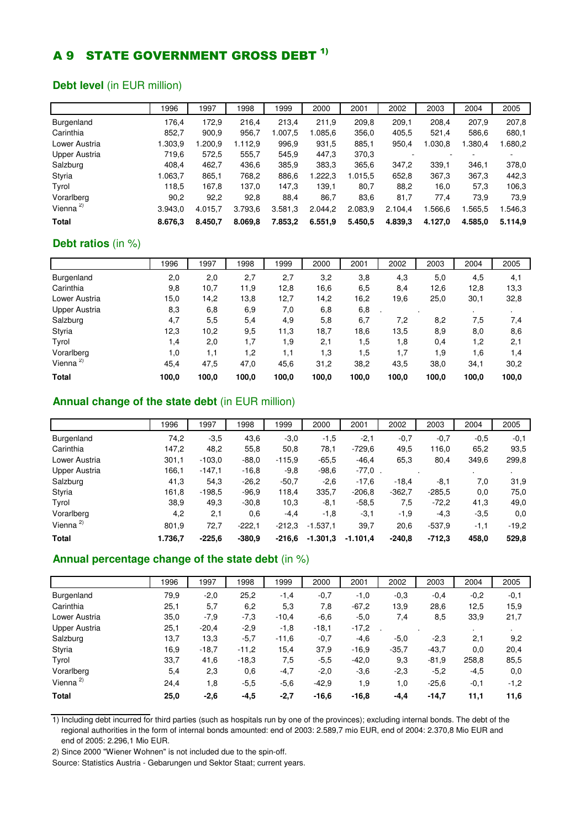### A 9 STATE GOVERNMENT GROSS DEBT <sup>1)</sup>

#### **Debt level** (in EUR million)

|                      | 1996    | 1997    | 998     | 1999    | 2000    | 2001    | 2002    | 2003    | 2004    | 2005    |
|----------------------|---------|---------|---------|---------|---------|---------|---------|---------|---------|---------|
| <b>Burgenland</b>    | 176.4   | 172,9   | 216,4   | 213.4   | 211.9   | 209,8   | 209.1   | 208.4   | 207.9   | 207,8   |
| Carinthia            | 852,7   | 900,9   | 956,7   | 1.007.5 | 1.085.6 | 356,0   | 405.5   | 521,4   | 586,6   | 680,1   |
| Lower Austria        | 1.303,9 | 1.200,9 | 1.112.9 | 996,9   | 931,5   | 885,1   | 950,4   | 1.030.8 | .380.4  | 0.680,2 |
| Upper Austria        | 719.6   | 572,5   | 555.7   | 545,9   | 447,3   | 370,3   |         |         |         |         |
| Salzburg             | 408,4   | 462,7   | 436,6   | 385,9   | 383,3   | 365,6   | 347.2   | 339.1   | 346.1   | 378,0   |
| Styria               | 1.063,7 | 865,1   | 768,2   | 886,6   | .222.3  | 1.015,5 | 652,8   | 367,3   | 367.3   | 442,3   |
| Tyrol                | 118,5   | 167,8   | 137,0   | 147,3   | 139,1   | 80,7    | 88,2    | 16,0    | 57,3    | 106,3   |
| Vorarlberg           | 90,2    | 92,2    | 92,8    | 88,4    | 86,7    | 83,6    | 81,7    | 77.4    | 73,9    | 73,9    |
| Vienna <sup>2)</sup> | 3.943.0 | 4.015.7 | 3.793,6 | 3.581,3 | 2.044,2 | 2.083,9 | 2.104,4 | .566,6  | .565,5  | .546,3  |
| <b>Total</b>         | 8.676.3 | 8.450,7 | 8.069,8 | 7.853,2 | 6.551,9 | 5.450,5 | 4.839,3 | 4.127.0 | 4.585,0 | 5.114.9 |

#### **Debt ratios** (in %)

|                      | 1996  | 1997  | 1998  | 1999  | 2000  | 2001  | 2002  | 2003  | 2004  | 2005  |
|----------------------|-------|-------|-------|-------|-------|-------|-------|-------|-------|-------|
| Burgenland           | 2,0   | 2,0   | 2,7   | 2,7   | 3,2   | 3,8   | 4,3   | 5,0   | 4,5   | 4,1   |
| Carinthia            | 9,8   | 10,7  | 11,9  | 12,8  | 16,6  | 6,5   | 8,4   | 12,6  | 12,8  | 13,3  |
| Lower Austria        | 15,0  | 14,2  | 13,8  | 12,7  | 14,2  | 16,2  | 19.6  | 25,0  | 30,1  | 32,8  |
| Upper Austria        | 8,3   | 6,8   | 6,9   | 7,0   | 6,8   | 6,8   |       |       |       |       |
| Salzburg             | 4,7   | 5,5   | 5,4   | 4,9   | 5,8   | 6,7   | 7,2   | 8,2   | 7,5   | 7,4   |
| Styria               | 12,3  | 10,2  | 9,5   | 11,3  | 18,7  | 18,6  | 13,5  | 8,9   | 8,0   | 8,6   |
| Tyrol                | 1,4   | 2,0   | 1,7   | 1,9   | 2,1   | 1,5   | 1,8   | 0,4   | 1.2   | 2,1   |
| Vorarlberg           | 1,0   | 1,1   | 1,2   | 1,1   | 1,3   | 1,5   | 1,7   | 1,9   | 1,6   | 1,4   |
| Vienna <sup>2)</sup> | 45,4  | 47,5  | 47,0  | 45,6  | 31,2  | 38,2  | 43,5  | 38,0  | 34,1  | 30,2  |
| <b>Total</b>         | 100,0 | 100,0 | 100,0 | 100,0 | 100,0 | 100,0 | 100,0 | 100,0 | 100,0 | 100,0 |

#### **Annual change of the state debt** (in EUR million)

|                      | 1996    | 1997     | 998      | 1999     | 2000       | 2001       | 2002     | 2003     | 2004   | 2005    |
|----------------------|---------|----------|----------|----------|------------|------------|----------|----------|--------|---------|
| Burgenland           | 74,2    | $-3.5$   | 43,6     | $-3.0$   | $-1,5$     | $-2,1$     | $-0,7$   | $-0,7$   | $-0.5$ | $-0,1$  |
| Carinthia            | 147,2   | 48,2     | 55,8     | 50,8     | 78,1       | $-729.6$   | 49,5     | 116,0    | 65,2   | 93,5    |
| Lower Austria        | 301,1   | $-103.0$ | $-88.0$  | $-115.9$ | $-65.5$    | $-46,4$    | 65,3     | 80,4     | 349,6  | 299,8   |
| <b>Upper Austria</b> | 166,1   | $-147,1$ | $-16.8$  | $-9,8$   | $-98.6$    | $-77.0$ .  |          |          |        |         |
| Salzburg             | 41,3    | 54,3     | $-26.2$  | $-50.7$  | $-2,6$     | $-17.6$    | $-18.4$  | $-8.1$   | 7.0    | 31,9    |
| Styria               | 161,8   | $-198.5$ | $-96.9$  | 118.4    | 335,7      | $-206.8$   | $-362.7$ | $-285.5$ | 0,0    | 75,0    |
| Tyrol                | 38,9    | 49,3     | $-30.8$  | 10,3     | $-8,1$     | $-58.5$    | 7,5      | $-72,2$  | 41,3   | 49,0    |
| Vorarlberg           | 4,2     | 2,1      | 0,6      | $-4,4$   | -1,8       | $-3,1$     | $-1,9$   | $-4,3$   | $-3,5$ | 0,0     |
| Vienna $2$           | 801,9   | 72,7     | $-222.1$ | $-212.3$ | $-1.537.1$ | 39,7       | 20,6     | $-537.9$ | $-1,1$ | $-19.2$ |
| <b>Total</b>         | 1.736.7 | $-225.6$ | $-380.9$ | -216.6   | $-1.301,3$ | $-1.101.4$ | $-240.8$ | $-712.3$ | 458.0  | 529,8   |

#### **Annual percentage change of the state debt** (in %)

|                      | 1996 | 1997    | 998     | 1999    | 2000    | 2001    | 2002    | 2003    | 2004   | 2005   |
|----------------------|------|---------|---------|---------|---------|---------|---------|---------|--------|--------|
| Burgenland           | 79,9 | $-2,0$  | 25,2    | $-1,4$  | $-0.7$  | $-1,0$  | $-0.3$  | $-0,4$  | $-0,2$ | $-0,1$ |
| Carinthia            | 25,1 | 5,7     | 6,2     | 5,3     | 7,8     | $-67,2$ | 13,9    | 28,6    | 12,5   | 15,9   |
| Lower Austria        | 35,0 | $-7,9$  | $-7,3$  | $-10,4$ | $-6,6$  | $-5,0$  | 7,4     | 8,5     | 33,9   | 21,7   |
| Upper Austria        | 25,1 | $-20,4$ | $-2,9$  | $-1,8$  | $-18,1$ | $-17,2$ |         |         |        |        |
| Salzburg             | 13,7 | 13,3    | $-5,7$  | $-11,6$ | $-0,7$  | $-4,6$  | $-5,0$  | $-2,3$  | 2,1    | 9,2    |
| Styria               | 16,9 | $-18.7$ | $-11.2$ | 15,4    | 37,9    | $-16.9$ | $-35,7$ | $-43.7$ | 0,0    | 20,4   |
| Tyrol                | 33,7 | 41,6    | $-18,3$ | 7,5     | $-5.5$  | $-42,0$ | 9,3     | $-81.9$ | 258,8  | 85,5   |
| Vorarlberg           | 5,4  | 2,3     | 0,6     | $-4,7$  | $-2,0$  | $-3,6$  | $-2,3$  | $-5,2$  | $-4,5$ | 0,0    |
| Vienna <sup>2)</sup> | 24,4 | 1,8     | $-5,5$  | $-5,6$  | $-42.9$ | 1,9     | 1,0     | $-25,6$ | $-0,1$ | $-1,2$ |
| <b>Total</b>         | 25,0 | $-2,6$  | $-4,5$  | $-2,7$  | $-16,6$ | $-16.8$ | $-4,4$  | $-14,7$ | 11,1   | 11,6   |

1) Including debt incurred for third parties (such as hospitals run by one of the provinces); excluding internal bonds. The debt of the regional authorities in the form of internal bonds amounted: end of 2003: 2.589,7 mio EUR, end of 2004: 2.370,8 Mio EUR and end of 2005: 2.296,1 Mio EUR.

2) Since 2000 "Wiener Wohnen" is not included due to the spin-off.

Source: Statistics Austria - Gebarungen und Sektor Staat; current years.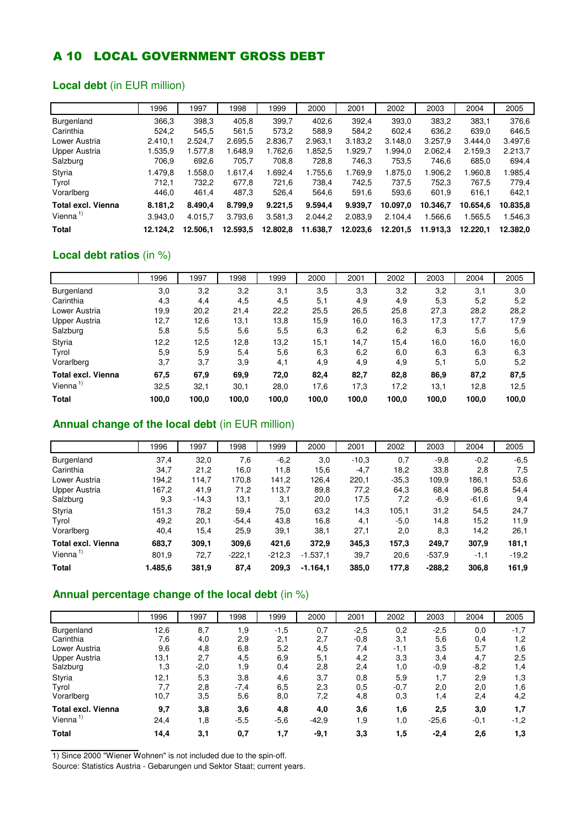### A 10 LOCAL GOVERNMENT GROSS DEBT

### **Local debt** (in EUR million)

|                    | 1996     | 1997     | 1998     | 1999     | 2000     | 2001     | 2002     | 2003     | 2004     | 2005     |
|--------------------|----------|----------|----------|----------|----------|----------|----------|----------|----------|----------|
| Burgenland         | 366,3    | 398.3    | 405.8    | 399.7    | 402.6    | 392.4    | 393,0    | 383.2    | 383.1    | 376.6    |
| Carinthia          | 524.2    | 545.5    | 561.5    | 573,2    | 588.9    | 584.2    | 602.4    | 636.2    | 639,0    | 646,5    |
| Lower Austria      | 2.410.1  | 2.524.7  | 2.695,5  | 2.836.7  | 2.963.1  | 3.183.2  | 3.148.0  | 3.257.9  | 3.444.0  | 3.497,6  |
| Upper Austria      | 1.535,9  | .577.8   | .648.9   | 1.762.6  | 1.852.5  | 1.929.7  | 1.994.0  | 2.062.4  | 2.159.3  | 2.213,7  |
| Salzburg           | 706.9    | 692,6    | 705,7    | 708,8    | 728,8    | 746,3    | 753,5    | 746.6    | 685,0    | 694,4    |
| Styria             | 1.479.8  | .558.0   | 1.617.4  | .692.4   | 1.755.6  | 1.769.9  | 1.875.0  | 1.906.2  | 1.960.8  | 1.985,4  |
| Tyrol              | 712.1    | 732.2    | 677,8    | 721,6    | 738.4    | 742.5    | 737.5    | 752.3    | 767.5    | 779.4    |
| Vorarlberg         | 446,0    | 461,4    | 487,3    | 526,4    | 564.6    | 591,6    | 593,6    | 601.9    | 616,1    | 642,1    |
| Total excl. Vienna | 8.181,2  | 8.490.4  | 8.799.9  | 9.221,5  | 9.594,4  | 9.939,7  | 10.097.0 | 10.346.7 | 10.654.6 | 10.835,8 |
| Vienna $1$         | 3.943.0  | 4.015.7  | 3.793,6  | 3.581,3  | 2.044.2  | 2.083,9  | 2.104.4  | 1.566.6  | 1.565.5  | 1.546.3  |
| <b>Total</b>       | 12.124.2 | 12.506.1 | 12.593,5 | 12.802.8 | 11.638,7 | 12.023,6 | 12.201.5 | 11.913.3 | 12.220.1 | 12.382.0 |

### **Local debt ratios** (in %)

|                           | 1996  | 1997  | 1998  | 1999  | 2000  | 2001  | 2002  | 2003  | 2004  | 2005  |
|---------------------------|-------|-------|-------|-------|-------|-------|-------|-------|-------|-------|
| Burgenland                | 3,0   | 3,2   | 3,2   | 3,1   | 3,5   | 3,3   | 3,2   | 3,2   | 3,1   | 3,0   |
| Carinthia                 | 4,3   | 4,4   | 4,5   | 4,5   | 5,1   | 4,9   | 4,9   | 5,3   | 5,2   | 5,2   |
| Lower Austria             | 19,9  | 20,2  | 21,4  | 22,2  | 25,5  | 26,5  | 25,8  | 27,3  | 28,2  | 28,2  |
| Upper Austria             | 12,7  | 12,6  | 13,1  | 13,8  | 15,9  | 16,0  | 16,3  | 17,3  | 17,7  | 17,9  |
| Salzburg                  | 5,8   | 5,5   | 5,6   | 5,5   | 6,3   | 6,2   | 6,2   | 6,3   | 5,6   | 5,6   |
| Styria                    | 12,2  | 12,5  | 12,8  | 13,2  | 15,1  | 14,7  | 15,4  | 16,0  | 16,0  | 16,0  |
| Tyrol                     | 5,9   | 5,9   | 5,4   | 5,6   | 6,3   | 6,2   | 6,0   | 6,3   | 6,3   | 6,3   |
| Vorarlberg                | 3,7   | 3,7   | 3,9   | 4,1   | 4,9   | 4,9   | 4,9   | 5,1   | 5,0   | 5,2   |
| <b>Total excl. Vienna</b> | 67,5  | 67,9  | 69,9  | 72,0  | 82,4  | 82,7  | 82,8  | 86,9  | 87,2  | 87,5  |
| Vienna <sup>1)</sup>      | 32,5  | 32,1  | 30,1  | 28,0  | 17.6  | 17,3  | 17,2  | 13,1  | 12,8  | 12,5  |
| <b>Total</b>              | 100,0 | 100,0 | 100,0 | 100,0 | 100,0 | 100,0 | 100,0 | 100,0 | 100,0 | 100,0 |

#### **Annual change of the local debt** (in EUR million)

|                           | 1996    | 1997    | 1998     | 1999     | 2000       | 2001    | 2002    | 2003     | 2004    | 2005    |
|---------------------------|---------|---------|----------|----------|------------|---------|---------|----------|---------|---------|
| Burgenland                | 37,4    | 32,0    | 7,6      | $-6,2$   | 3,0        | $-10,3$ | 0,7     | $-9,8$   | $-0,2$  | $-6,5$  |
| Carinthia                 | 34,7    | 21,2    | 16.0     | 11,8     | 15,6       | $-4,7$  | 18,2    | 33,8     | 2,8     | 7,5     |
| Lower Austria             | 194,2   | 114,7   | 170.8    | 141,2    | 126,4      | 220,1   | $-35.3$ | 109.9    | 186.1   | 53,6    |
| Upper Austria             | 167,2   | 41,9    | 71,2     | 113,7    | 89,8       | 77,2    | 64,3    | 68,4     | 96,8    | 54,4    |
| Salzburg                  | 9,3     | $-14.3$ | 13,1     | 3,1      | 20,0       | 17,5    | 7,2     | $-6.9$   | $-61,6$ | 9,4     |
| Styria                    | 151,3   | 78,2    | 59,4     | 75,0     | 63,2       | 14,3    | 105,1   | 31,2     | 54.5    | 24,7    |
| Tyrol                     | 49,2    | 20,1    | $-54.4$  | 43,8     | 16,8       | 4,1     | $-5.0$  | 14,8     | 15,2    | 11,9    |
| Vorarlberg                | 40,4    | 15,4    | 25,9     | 39,1     | 38,1       | 27,1    | 2,0     | 8,3      | 14,2    | 26,1    |
| <b>Total excl. Vienna</b> | 683,7   | 309,1   | 309,6    | 421,6    | 372,9      | 345,3   | 157,3   | 249.7    | 307,9   | 181,1   |
| Vienna $1$                | 801,9   | 72,7    | $-222.1$ | $-212.3$ | $-1.537,1$ | 39,7    | 20,6    | $-537.9$ | $-1,1$  | $-19.2$ |
| <b>Total</b>              | 1.485,6 | 381,9   | 87,4     | 209,3    | $-1.164,1$ | 385,0   | 177,8   | $-288,2$ | 306,8   | 161,9   |

### **Annual percentage change of the local debt** (in %)

|                           | 1996 | 1997   | 1998   | 1999   | 2000    | 2001   | 2002   | 2003    | 2004   | 2005   |
|---------------------------|------|--------|--------|--------|---------|--------|--------|---------|--------|--------|
| Burgenland                | 12,6 | 8,7    | 1,9    | $-1,5$ | 0,7     | $-2,5$ | 0,2    | $-2,5$  | 0,0    | $-1,7$ |
| Carinthia                 | 7,6  | 4,0    | 2,9    | 2,1    | 2,7     | $-0,8$ | 3,1    | 5,6     | 0,4    | 1,2    |
| Lower Austria             | 9,6  | 4,8    | 6,8    | 5,2    | 4,5     | 7,4    | $-1,1$ | 3,5     | 5,7    | 1,6    |
| Upper Austria             | 13,1 | 2,7    | 4,5    | 6,9    | 5,1     | 4,2    | 3,3    | 3,4     | 4,7    | 2,5    |
| Salzburg                  | 1.3  | $-2,0$ | 1,9    | 0,4    | 2,8     | 2,4    | 1,0    | $-0,9$  | $-8,2$ | 1,4    |
| Styria                    | 12,1 | 5,3    | 3,8    | 4,6    | 3,7     | 0,8    | 5,9    | 1,7     | 2,9    | 1,3    |
| Tyrol                     | 7,7  | 2,8    | $-7,4$ | 6,5    | 2,3     | 0,5    | $-0,7$ | 2,0     | 2,0    | 1,6    |
| Vorarlberg                | 10,7 | 3,5    | 5,6    | 8,0    | 7,2     | 4,8    | 0,3    | 1,4     | 2,4    | 4,2    |
| <b>Total excl. Vienna</b> | 9,7  | 3,8    | 3,6    | 4,8    | 4,0     | 3,6    | 1,6    | 2,5     | 3,0    | 1,7    |
| Vienna <sup>1)</sup>      | 24,4 | 1,8    | $-5,5$ | $-5,6$ | $-42,9$ | 1,9    | 1,0    | $-25,6$ | $-0,1$ | $-1,2$ |
| <b>Total</b>              | 14,4 | 3,1    | 0,7    | 1,7    | $-9,1$  | 3,3    | 1,5    | $-2,4$  | 2,6    | 1,3    |

1) Since 2000 "Wiener Wohnen" is not included due to the spin-off.

Source: Statistics Austria - Gebarungen und Sektor Staat; current years.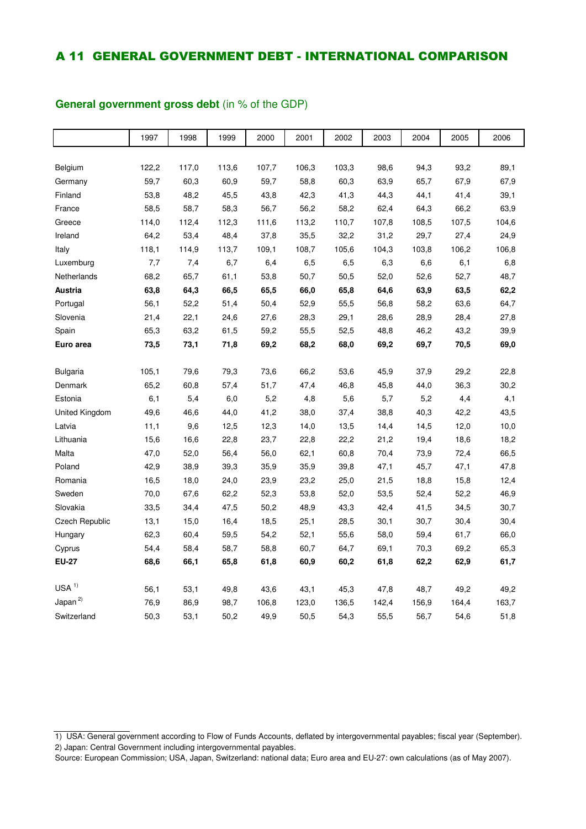### A 11 GENERAL GOVERNMENT DEBT - INTERNATIONAL COMPARISON

### 1997 | 1998 | 1999 | 2000 | 2001 | 2002 | 2003 | 2004 | 2005 | 2006 Belgium 122,2 117,0 113,6 107,7 106,3 103,3 98,6 94,3 93,2 89,1 Germany 59,7 60,3 60,9 59,7 58,8 60,3 63,9 65,7 67,9 67,9 Finland 53,8 48,2 45,5 43,8 42,3 41,3 44,3 44,1 41,4 39,1 France 58,5 58,7 58,3 56,7 56,2 58,2 62,4 64,3 66,2 63,9 Greece 114,0 112,4 112,3 111,6 113,2 110,7 107,8 108,5 107,5 104,6 Ireland 64,2 53,4 48,4 37,8 35,5 32,2 31,2 29,7 27,4 24,9 Italy 118,1 114,9 113,7 109,1 108,7 105,6 104,3 103,8 106,2 106,8 Luxemburg 7,7 7,4 6,7 6,4 6,5 6,5 6,3 6,6 6,1 6,8 Netherlands 68,2 65,7 61,1 53,8 50,7 50,5 52,0 52,6 52,7 48,7 **Austria 63,8 64,3 66,5 65,5 66,0 65,8 64,6 63,9 63,5 62,2** Portugal 56,1 52,2 51,4 50,4 52,9 55,5 56,8 58,2 63,6 64,7 Slovenia 21,4 22,1 24,6 27,6 28,3 29,1 28,6 28,9 28,4 27,8 Spain 65,3 63,2 61,5 59,2 55,5 52,5 48,8 46,2 43,2 39,9 **Euro area 73,5 73,1 71,8 69,2 68,2 68,0 69,2 69,7 70,5 69,0** Bulgaria 105,1 79,6 79,3 73,6 66,2 53,6 45,9 37,9 29,2 22,8 Denmark 65,2 60,8 57,4 51,7 47,4 46,8 45,8 44,0 36,3 30,2 Estonia 6,1 5,4 6,0 5,2 4,8 5,6 5,7 5,2 4,4 4,1 United Kingdom 49,6 46,6 44,0 41,2 38,0 37,4 38,8 40,3 42,2 43,5 Latvia 11,1 9,6 12,5 12,3 14,0 13,5 14,4 14,5 12,0 10,0 Lithuania 15,6 16,6 22,8 23,7 22,8 22,2 21,2 19,4 18,6 18,2 Malta 47,0 52,0 56,4 56,0 62,1 60,8 70,4 73,9 72,4 66,5 Poland 42,9 38,9 39,3 35,9 35,9 39,8 47,1 45,7 47,1 47,8 Romania 16,5 18,0 24,0 23,9 23,2 25,0 21,5 18,8 15,8 12,4 Sweden 70,0 67,6 62,2 52,3 53,8 52,0 53,5 52,4 52,2 46,9 Slovakia 33,5 34,4 47,5 50,2 48,9 43,3 42,4 41,5 34,5 30,7 Czech Republic 13,1 15,0 16,4 18,5 25,1 28,5 30,1 30,7 30,4 30,4 Hungary 62,3 60,4 59,5 54,2 52,1 55,6 58,0 59,4 61,7 66,0 Cyprus 54,4 58,4 58,7 58,8 60,7 64,7 69,1 70,3 69,2 65,3 **EU-27 68,6 66,1 65,8 61,8 60,9 60,2 61,8 62,2 62,9 61,7**  $USA$ <sup>1)</sup> 56,1 53,1 49,8 43,6 43,1 45,3 47,8 48,7 49,2 49,2 Japan 2) 76,9 86,9 98,7 106,8 123,0 136,5 142,4 156,9 164,4 163,7 Switzerland 50,3 53,1 50,2 49,9 50,5 54,3 55,5 56,7 54,6 51,8

#### **General government gross debt** (in % of the GDP)

<sup>1)</sup> USA: General government according to Flow of Funds Accounts, deflated by intergovernmental payables; fiscal year (September). 2) Japan: Central Government including intergovernmental payables.

Source: European Commission; USA, Japan, Switzerland: national data; Euro area and EU-27: own calculations (as of May 2007).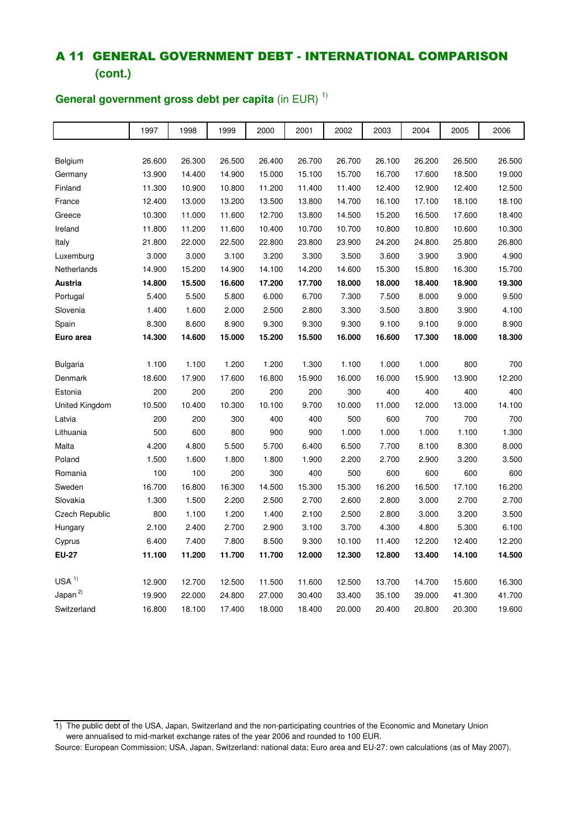### A 11 GENERAL GOVERNMENT DEBT - INTERNATIONAL COMPARISON **(cont.)**

### 1997 | 1998 | 1999 | 2000 | 2001 | 2002 | 2003 | 2004 | 2005 | 2006 Belgium 26.600 26.300 26.500 26.400 26.700 26.700 26.100 26.200 26.500 26.500 Germany 13.900 14.400 14.900 15.000 15.100 15.700 16.700 17.600 18.500 19.000 Finland 11.300 10.900 10.800 11.200 11.400 11.400 12.400 12.900 12.400 12.500 France 12.400 13.000 13.200 13.500 13.800 14.700 16.100 17.100 18.100 18.100 Greece 10.300 11.000 11.600 12.700 13.800 14.500 15.200 16.500 17.600 18.400 Ireland 11.800 11.200 11.600 10.400 10.700 10.700 10.800 10.800 10.600 10.300 Italy 21.800 22.000 22.500 22.800 23.800 23.900 24.200 24.800 25.800 26.800 Luxemburg 3.000 3.000 3.100 3.200 3.300 3.500 3.600 3.900 3.900 4.900 Netherlands 14.900 15.200 14.900 14.100 14.200 14.600 15.300 15.800 16.300 15.700 **Austria 14.800 15.500 16.600 17.200 17.700 18.000 18.000 18.400 18.900 19.300** Portugal 5.400 5.500 5.800 6.000 6.700 7.300 7.500 8.000 9.000 9.500 Slovenia 1.400 1.600 2.000 2.500 2.800 3.300 3.500 3.800 3.900 4.100 Spain 8.300 8.600 8.900 9.300 9.300 9.300 9.100 9.100 9.000 8.900 **Euro area 14.300 14.600 15.000 15.200 15.500 16.000 16.600 17.300 18.000 18.300** Bulgaria 1.100 1.100 1.200 1.200 1.300 1.100 1.000 1.000 800 700 Denmark 18.600 17.900 17.600 16.800 15.900 16.000 16.000 15.900 13.900 12.200 Estonia 200 200 200 200 200 300 400 400 400 400 United Kingdom 10.500 10.400 10.300 10.100 9.700 10.000 11.000 12.000 13.000 14.100 Latvia 200 200 300 400 400 500 600 700 700 700 Lithuania 500 600 800 900 900 1.000 1.000 1.000 1.100 1.300 Malta 4.200 4.800 5.500 5.700 6.400 6.500 7.700 8.100 8.300 8.000 Poland 1.500 1.600 1.800 1.800 1.900 2.200 2.700 2.900 3.200 3.500 Romania 100 100 200 300 400 500 600 600 600 600 Sweden 16.700 16.800 16.300 14.500 15.300 15.300 16.200 16.500 17.100 16.200 Slovakia 1.300 1.500 2.200 2.500 2.700 2.600 2.800 3.000 2.700 2.700 Czech Republic 800 1.100 1.200 1.400 2.100 2.500 2.800 3.000 3.200 3.500 Hungary 2.100 2.400 2.700 2.900 3.100 3.700 4.300 4.800 5.300 6.100 Cyprus 6.400 7.400 7.800 8.500 9.300 10.100 11.400 12.200 12.400 12.200 **EU-27 11.100 11.200 11.700 11.700 12.000 12.300 12.800 13.400 14.100 14.500** USA  $^{1)}$ 12.900 12.700 12.500 11.500 11.600 12.500 13.700 14.700 15.600 16.300 Japan <sup>2)</sup> 19.900 22.000 24.800 27.000 30.400 33.400 35.100 39.000 41.300 41.700 Switzerland 16.800 18.100 17.400 18.000 18.400 20.000 20.400 20.800 20.300 19.600

### **General government gross debt per capita** (in EUR) 1)

<sup>1)</sup> The public debt of the USA, Japan, Switzerland and the non-participating countries of the Economic and Monetary Union were annualised to mid-market exchange rates of the year 2006 and rounded to 100 EUR.

Source: European Commission; USA, Japan, Switzerland: national data; Euro area and EU-27: own calculations (as of May 2007).